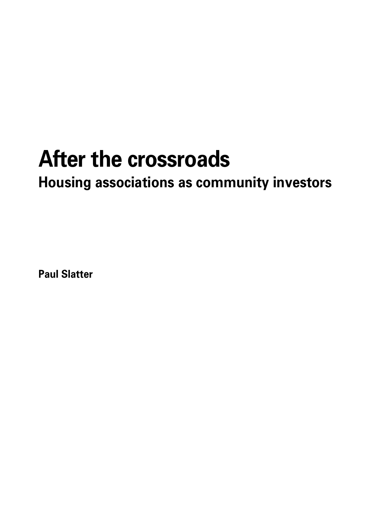# **After the crossroads**

**Housing associations as community investors**

**Paul Slatter**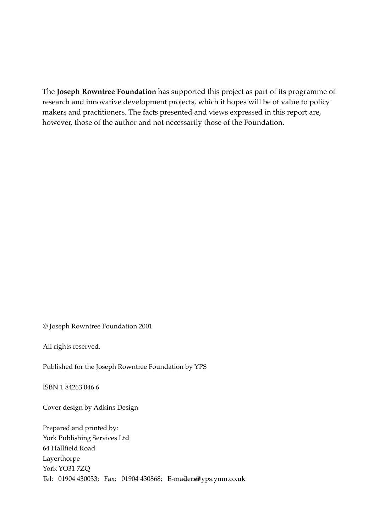The **Joseph Rowntree Foundation** has supported this project as part of its programme of research and innovative development projects, which it hopes will be of value to policy makers and practitioners. The facts presented and views expressed in this report are, however, those of the author and not necessarily those of the Foundation.

© Joseph Rowntree Foundation 2001

All rights reserved.

Published for the Joseph Rowntree Foundation by YPS

ISBN 1 84263 046 6

Cover design by Adkins Design

Prepared and printed by: York Publishing Services Ltd 64 Hallfield Road Layerthorpe York YO31 7ZQ Tel: 01904 430033; Fax: 01904 430868; E-maiders@yps.ymn.co.uk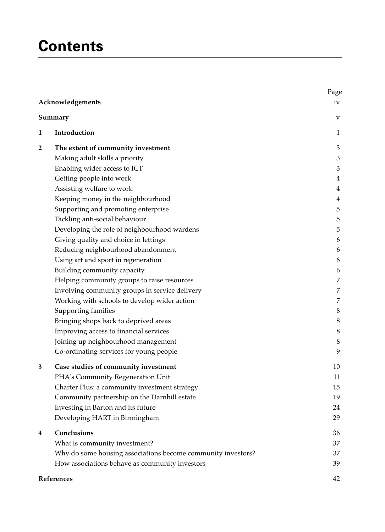## **Contents**

|                         | Acknowledgements                                             | Page<br>iv |
|-------------------------|--------------------------------------------------------------|------------|
| Summary                 |                                                              | $\rm{V}$   |
| 1                       | Introduction                                                 | 1          |
| $\overline{\mathbf{2}}$ | The extent of community investment                           | 3          |
|                         | Making adult skills a priority                               | 3          |
|                         | Enabling wider access to ICT                                 | 3          |
|                         | Getting people into work                                     | 4          |
|                         | Assisting welfare to work                                    | 4          |
|                         | Keeping money in the neighbourhood                           | 4          |
|                         | Supporting and promoting enterprise                          | 5          |
|                         | Tackling anti-social behaviour                               | 5          |
|                         | Developing the role of neighbourhood wardens                 | 5          |
|                         | Giving quality and choice in lettings                        | 6          |
|                         | Reducing neighbourhood abandonment                           | 6          |
|                         | Using art and sport in regeneration                          | 6          |
|                         | Building community capacity                                  | 6          |
|                         | Helping community groups to raise resources                  | 7          |
|                         | Involving community groups in service delivery               | 7          |
|                         | Working with schools to develop wider action                 | 7          |
|                         | Supporting families                                          | 8          |
|                         | Bringing shops back to deprived areas                        | 8          |
|                         | Improving access to financial services                       | $\,8\,$    |
|                         | Joining up neighbourhood management                          | 8          |
|                         | Co-ordinating services for young people                      | 9          |
| 3                       | Case studies of community investment                         | 10         |
|                         | PHA's Community Regeneration Unit                            | 11         |
|                         | Charter Plus: a community investment strategy                | 15         |
|                         | Community partnership on the Darnhill estate                 | 19         |
|                         | Investing in Barton and its future                           | 24         |
|                         | Developing HART in Birmingham                                | 29         |
| 4                       | Conclusions                                                  | 36         |
|                         | What is community investment?                                | 37         |
|                         | Why do some housing associations become community investors? | 37         |
|                         | How associations behave as community investors               | 39         |

## **References** 42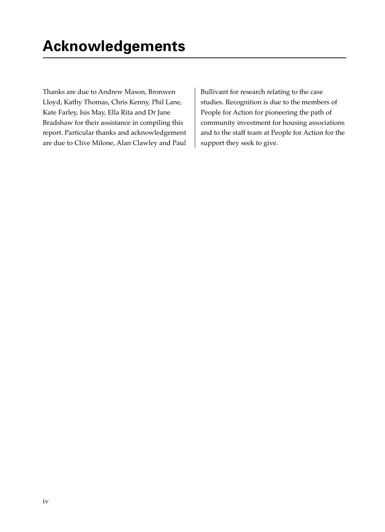Thanks are due to Andrew Mason, Bronwen Lloyd, Kathy Thomas, Chris Kenny, Phil Lane, Kate Farley, Isis May, Ella Rita and Dr Jane Bradshaw for their assistance in compiling this report. Particular thanks and acknowledgement are due to Clive Milone, Alan Clawley and Paul Bullivant for research relating to the case studies. Recognition is due to the members of People for Action for pioneering the path of community investment for housing associations and to the staff team at People for Action for the support they seek to give.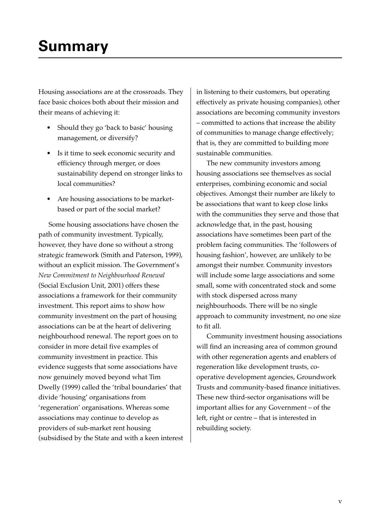## **Summary**

Housing associations are at the crossroads. They face basic choices both about their mission and their means of achieving it:

- Should they go 'back to basic' housing management, or diversify?
- Is it time to seek economic security and efficiency through merger, or does sustainability depend on stronger links to local communities?
- Are housing associations to be marketbased or part of the social market?

Some housing associations have chosen the path of community investment. Typically, however, they have done so without a strong strategic framework (Smith and Paterson, 1999), without an explicit mission. The Government's *New Commitment to Neighbourhood Renewal* (Social Exclusion Unit, 2001) offers these associations a framework for their community investment. This report aims to show how community investment on the part of housing associations can be at the heart of delivering neighbourhood renewal. The report goes on to consider in more detail five examples of community investment in practice. This evidence suggests that some associations have now genuinely moved beyond what Tim Dwelly (1999) called the 'tribal boundaries' that divide 'housing' organisations from 'regeneration' organisations. Whereas some associations may continue to develop as providers of sub-market rent housing (subsidised by the State and with a keen interest in listening to their customers, but operating effectively as private housing companies), other associations are becoming community investors – committed to actions that increase the ability of communities to manage change effectively; that is, they are committed to building more sustainable communities.

The new community investors among housing associations see themselves as social enterprises, combining economic and social objectives. Amongst their number are likely to be associations that want to keep close links with the communities they serve and those that acknowledge that, in the past, housing associations have sometimes been part of the problem facing communities. The 'followers of housing fashion', however, are unlikely to be amongst their number. Community investors will include some large associations and some small, some with concentrated stock and some with stock dispersed across many neighbourhoods. There will be no single approach to community investment, no one size to fit all.

Community investment housing associations will find an increasing area of common ground with other regeneration agents and enablers of regeneration like development trusts, cooperative development agencies, Groundwork Trusts and community-based finance initiatives. These new third-sector organisations will be important allies for any Government – of the left, right or centre – that is interested in rebuilding society.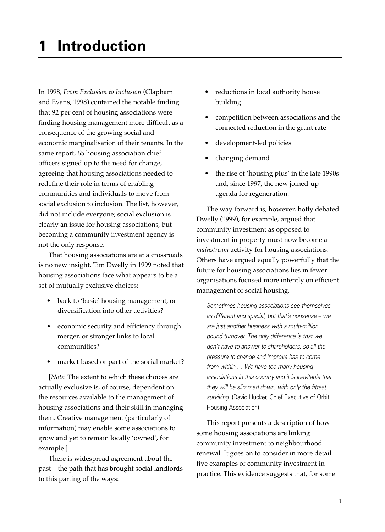In 1998, *From Exclusion to Inclusion* (Clapham and Evans, 1998) contained the notable finding that 92 per cent of housing associations were finding housing management more difficult as a consequence of the growing social and economic marginalisation of their tenants. In the same report, 65 housing association chief officers signed up to the need for change, agreeing that housing associations needed to redefine their role in terms of enabling communities and individuals to move from social exclusion to inclusion. The list, however, did not include everyone; social exclusion is clearly an issue for housing associations, but becoming a community investment agency is not the only response.

That housing associations are at a crossroads is no new insight. Tim Dwelly in 1999 noted that housing associations face what appears to be a set of mutually exclusive choices:

- back to 'basic' housing management, or diversification into other activities?
- economic security and efficiency through merger, or stronger links to local communities?
- market-based or part of the social market?

[*Note*: The extent to which these choices are actually exclusive is, of course, dependent on the resources available to the management of housing associations and their skill in managing them. Creative management (particularly of information) may enable some associations to grow and yet to remain locally 'owned', for example.]

There is widespread agreement about the past – the path that has brought social landlords to this parting of the ways:

- reductions in local authority house building
- competition between associations and the connected reduction in the grant rate
- development-led policies
- changing demand
- the rise of 'housing plus' in the late 1990s and, since 1997, the new joined-up agenda for regeneration.

The way forward is, however, hotly debated. Dwelly (1999), for example, argued that community investment as opposed to investment in property must now become a *mainstream* activity for housing associations. Others have argued equally powerfully that the future for housing associations lies in fewer organisations focused more intently on efficient management of social housing.

Sometimes housing associations see themselves as different and special, but that's nonsense – we are just another business with a multi-million pound turnover. The only difference is that we don't have to answer to shareholders, so all the pressure to change and improve has to come from within … We have too many housing associations in this country and it is inevitable that they will be slimmed down, with only the fittest surviving. (David Hucker, Chief Executive of Orbit Housing Association)

This report presents a description of how some housing associations are linking community investment to neighbourhood renewal. It goes on to consider in more detail five examples of community investment in practice. This evidence suggests that, for some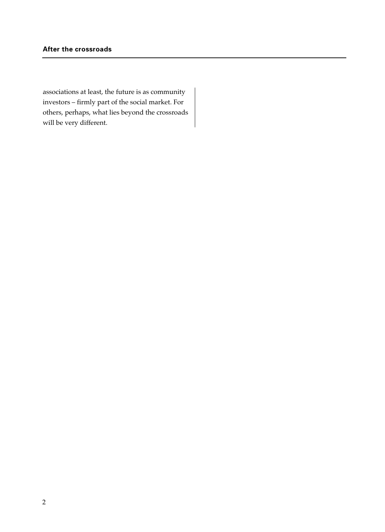associations at least, the future is as community investors – firmly part of the social market. For others, perhaps, what lies beyond the crossroads will be very different.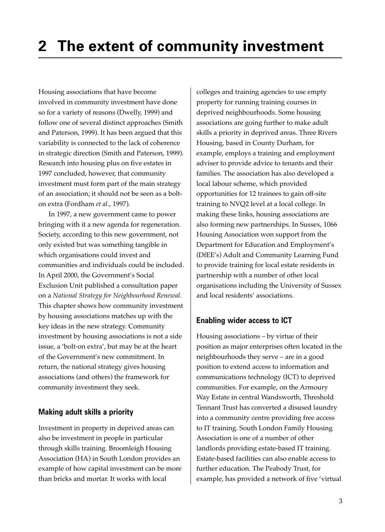Housing associations that have become involved in community investment have done so for a variety of reasons (Dwelly, 1999) and follow one of several distinct approaches (Smith and Paterson, 1999). It has been argued that this variability is connected to the lack of coherence in strategic direction (Smith and Paterson, 1999). Research into housing plus on five estates in 1997 concluded, however, that community investment must form part of the main strategy of an association; it should not be seen as a bolton extra (Fordham *et al.*, 1997).

In 1997, a new government came to power bringing with it a new agenda for regeneration. Society, according to this new government, not only existed but was something tangible in which organisations could invest and communities and individuals could be included. In April 2000, the Government's Social Exclusion Unit published a consultation paper on a *National Strategy for Neighbourhood Renewal*. This chapter shows how community investment by housing associations matches up with the key ideas in the new strategy. Community investment by housing associations is not a side issue, a 'bolt-on extra', but may be at the heart of the Government's new commitment. In return, the national strategy gives housing associations (and others) the framework for community investment they seek.

## **Making adult skills a priority**

Investment in property in deprived areas can also be investment in people in particular through skills training. Broomleigh Housing Association (HA) in South London provides an example of how capital investment can be more than bricks and mortar. It works with local

colleges and training agencies to use empty property for running training courses in deprived neighbourhoods. Some housing associations are going further to make adult skills a priority in deprived areas. Three Rivers Housing, based in County Durham, for example, employs a training and employment adviser to provide advice to tenants and their families. The association has also developed a local labour scheme, which provided opportunities for 12 trainees to gain off-site training to NVQ2 level at a local college. In making these links, housing associations are also forming new partnerships. In Sussex, 1066 Housing Association won support from the Department for Education and Employment's (DfEE's) Adult and Community Learning Fund to provide training for local estate residents in partnership with a number of other local organisations including the University of Sussex and local residents' associations.

## **Enabling wider access to ICT**

Housing associations – by virtue of their position as major enterprises often located in the neighbourhoods they serve – are in a good position to extend access to information and communications technology (ICT) to deprived communities. For example, on the Armoury Way Estate in central Wandsworth, Threshold Tennant Trust has converted a disused laundry into a community centre providing free access to IT training. South London Family Housing Association is one of a number of other landlords providing estate-based IT training. Estate-based facilities can also enable access to further education. The Peabody Trust, for example, has provided a network of five 'virtual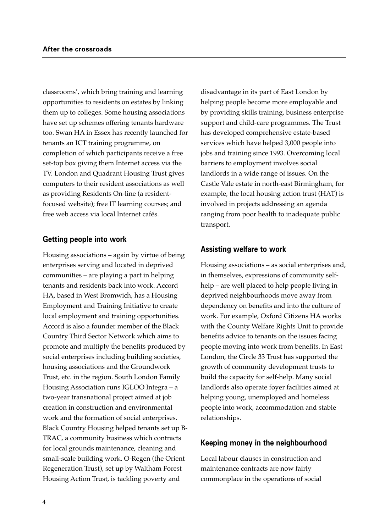classrooms', which bring training and learning opportunities to residents on estates by linking them up to colleges. Some housing associations have set up schemes offering tenants hardware too. Swan HA in Essex has recently launched for tenants an ICT training programme, on completion of which participants receive a free set-top box giving them Internet access via the TV. London and Quadrant Housing Trust gives computers to their resident associations as well as providing Residents On-line (a residentfocused website); free IT learning courses; and free web access via local Internet cafés.

## **Getting people into work**

Housing associations – again by virtue of being enterprises serving and located in deprived communities – are playing a part in helping tenants and residents back into work. Accord HA, based in West Bromwich, has a Housing Employment and Training Initiative to create local employment and training opportunities. Accord is also a founder member of the Black Country Third Sector Network which aims to promote and multiply the benefits produced by social enterprises including building societies, housing associations and the Groundwork Trust, etc. in the region. South London Family Housing Association runs IGLOO Integra – a two-year transnational project aimed at job creation in construction and environmental work and the formation of social enterprises. Black Country Housing helped tenants set up B-TRAC, a community business which contracts for local grounds maintenance, cleaning and small-scale building work. O-Regen (the Orient Regeneration Trust), set up by Waltham Forest Housing Action Trust, is tackling poverty and

disadvantage in its part of East London by helping people become more employable and by providing skills training, business enterprise support and child-care programmes. The Trust has developed comprehensive estate-based services which have helped 3,000 people into jobs and training since 1993. Overcoming local barriers to employment involves social landlords in a wide range of issues. On the Castle Vale estate in north-east Birmingham, for example, the local housing action trust (HAT) is involved in projects addressing an agenda ranging from poor health to inadequate public transport.

## **Assisting welfare to work**

Housing associations – as social enterprises and, in themselves, expressions of community selfhelp – are well placed to help people living in deprived neighbourhoods move away from dependency on benefits and into the culture of work. For example, Oxford Citizens HA works with the County Welfare Rights Unit to provide benefits advice to tenants on the issues facing people moving into work from benefits. In East London, the Circle 33 Trust has supported the growth of community development trusts to build the capacity for self-help. Many social landlords also operate foyer facilities aimed at helping young, unemployed and homeless people into work, accommodation and stable relationships.

## **Keeping money in the neighbourhood**

Local labour clauses in construction and maintenance contracts are now fairly commonplace in the operations of social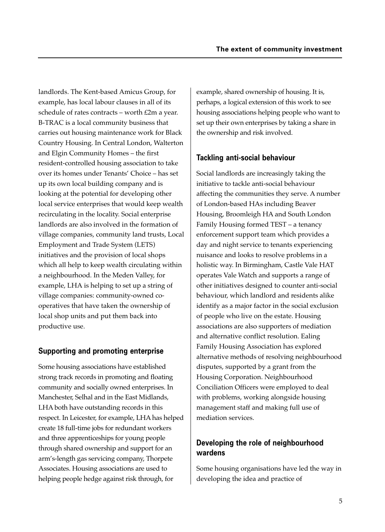landlords. The Kent-based Amicus Group, for example, has local labour clauses in all of its schedule of rates contracts – worth £2m a year. B-TRAC is a local community business that carries out housing maintenance work for Black Country Housing. In Central London, Walterton and Elgin Community Homes – the first resident-controlled housing association to take over its homes under Tenants' Choice – has set up its own local building company and is looking at the potential for developing other local service enterprises that would keep wealth recirculating in the locality. Social enterprise landlords are also involved in the formation of village companies, community land trusts, Local Employment and Trade System (LETS) initiatives and the provision of local shops which all help to keep wealth circulating within a neighbourhood. In the Meden Valley, for example, LHA is helping to set up a string of village companies: community-owned cooperatives that have taken the ownership of local shop units and put them back into productive use.

## **Supporting and promoting enterprise**

Some housing associations have established strong track records in promoting and floating community and socially owned enterprises. In Manchester, Selhal and in the East Midlands, LHA both have outstanding records in this respect. In Leicester, for example, LHA has helped create 18 full-time jobs for redundant workers and three apprenticeships for young people through shared ownership and support for an arm's-length gas servicing company, Thorpete Associates. Housing associations are used to helping people hedge against risk through, for

example, shared ownership of housing. It is, perhaps, a logical extension of this work to see housing associations helping people who want to set up their own enterprises by taking a share in the ownership and risk involved.

## **Tackling anti-social behaviour**

Social landlords are increasingly taking the initiative to tackle anti-social behaviour affecting the communities they serve. A number of London-based HAs including Beaver Housing, Broomleigh HA and South London Family Housing formed TEST – a tenancy enforcement support team which provides a day and night service to tenants experiencing nuisance and looks to resolve problems in a holistic way. In Birmingham, Castle Vale HAT operates Vale Watch and supports a range of other initiatives designed to counter anti-social behaviour, which landlord and residents alike identify as a major factor in the social exclusion of people who live on the estate. Housing associations are also supporters of mediation and alternative conflict resolution. Ealing Family Housing Association has explored alternative methods of resolving neighbourhood disputes, supported by a grant from the Housing Corporation. Neighbourhood Conciliation Officers were employed to deal with problems, working alongside housing management staff and making full use of mediation services.

## **Developing the role of neighbourhood wardens**

Some housing organisations have led the way in developing the idea and practice of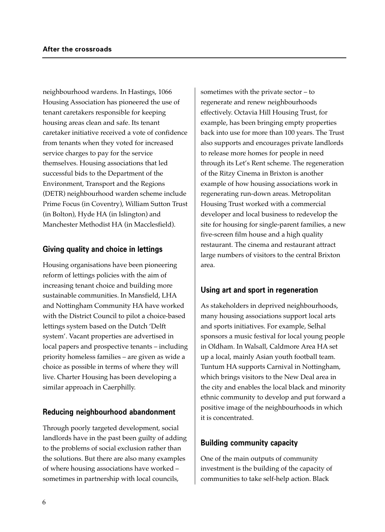neighbourhood wardens. In Hastings, 1066 Housing Association has pioneered the use of tenant caretakers responsible for keeping housing areas clean and safe. Its tenant caretaker initiative received a vote of confidence from tenants when they voted for increased service charges to pay for the service themselves. Housing associations that led successful bids to the Department of the Environment, Transport and the Regions (DETR) neighbourhood warden scheme include Prime Focus (in Coventry), William Sutton Trust (in Bolton), Hyde HA (in Islington) and Manchester Methodist HA (in Macclesfield).

## **Giving quality and choice in lettings**

Housing organisations have been pioneering reform of lettings policies with the aim of increasing tenant choice and building more sustainable communities. In Mansfield, LHA and Nottingham Community HA have worked with the District Council to pilot a choice-based lettings system based on the Dutch 'Delft system'. Vacant properties are advertised in local papers and prospective tenants – including priority homeless families – are given as wide a choice as possible in terms of where they will live. Charter Housing has been developing a similar approach in Caerphilly.

## **Reducing neighbourhood abandonment**

Through poorly targeted development, social landlords have in the past been guilty of adding to the problems of social exclusion rather than the solutions. But there are also many examples of where housing associations have worked – sometimes in partnership with local councils,

sometimes with the private sector – to regenerate and renew neighbourhoods effectively. Octavia Hill Housing Trust, for example, has been bringing empty properties back into use for more than 100 years. The Trust also supports and encourages private landlords to release more homes for people in need through its Let's Rent scheme. The regeneration of the Ritzy Cinema in Brixton is another example of how housing associations work in regenerating run-down areas. Metropolitan Housing Trust worked with a commercial developer and local business to redevelop the site for housing for single-parent families, a new five-screen film house and a high quality restaurant. The cinema and restaurant attract large numbers of visitors to the central Brixton area.

## **Using art and sport in regeneration**

As stakeholders in deprived neighbourhoods, many housing associations support local arts and sports initiatives. For example, Selhal sponsors a music festival for local young people in Oldham. In Walsall, Caldmore Area HA set up a local, mainly Asian youth football team. Tuntum HA supports Carnival in Nottingham, which brings visitors to the New Deal area in the city and enables the local black and minority ethnic community to develop and put forward a positive image of the neighbourhoods in which it is concentrated.

## **Building community capacity**

One of the main outputs of community investment is the building of the capacity of communities to take self-help action. Black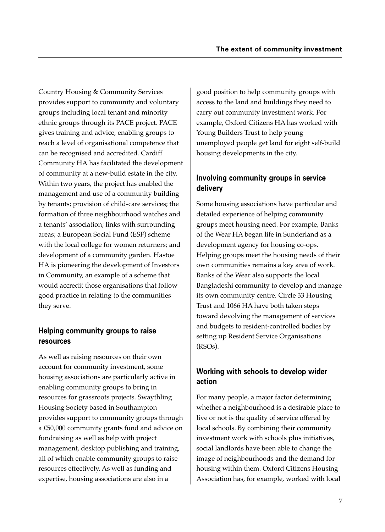Country Housing & Community Services provides support to community and voluntary groups including local tenant and minority ethnic groups through its PACE project. PACE gives training and advice, enabling groups to reach a level of organisational competence that can be recognised and accredited. Cardiff Community HA has facilitated the development of community at a new-build estate in the city. Within two years, the project has enabled the management and use of a community building by tenants; provision of child-care services; the formation of three neighbourhood watches and a tenants' association; links with surrounding areas; a European Social Fund (ESF) scheme with the local college for women returners; and development of a community garden. Hastoe HA is pioneering the development of Investors in Community, an example of a scheme that would accredit those organisations that follow good practice in relating to the communities they serve.

## **Helping community groups to raise resources**

As well as raising resources on their own account for community investment, some housing associations are particularly active in enabling community groups to bring in resources for grassroots projects. Swaythling Housing Society based in Southampton provides support to community groups through a £50,000 community grants fund and advice on fundraising as well as help with project management, desktop publishing and training, all of which enable community groups to raise resources effectively. As well as funding and expertise, housing associations are also in a

good position to help community groups with access to the land and buildings they need to carry out community investment work. For example, Oxford Citizens HA has worked with Young Builders Trust to help young unemployed people get land for eight self-build housing developments in the city.

## **Involving community groups in service delivery**

Some housing associations have particular and detailed experience of helping community groups meet housing need. For example, Banks of the Wear HA began life in Sunderland as a development agency for housing co-ops. Helping groups meet the housing needs of their own communities remains a key area of work. Banks of the Wear also supports the local Bangladeshi community to develop and manage its own community centre. Circle 33 Housing Trust and 1066 HA have both taken steps toward devolving the management of services and budgets to resident-controlled bodies by setting up Resident Service Organisations (RSOs).

## **Working with schools to develop wider action**

For many people, a major factor determining whether a neighbourhood is a desirable place to live or not is the quality of service offered by local schools. By combining their community investment work with schools plus initiatives, social landlords have been able to change the image of neighbourhoods and the demand for housing within them. Oxford Citizens Housing Association has, for example, worked with local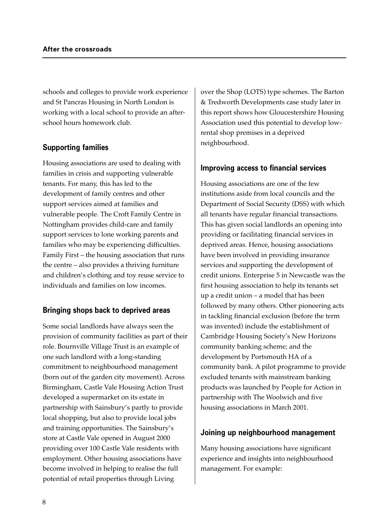schools and colleges to provide work experience and St Pancras Housing in North London is working with a local school to provide an afterschool hours homework club.

## **Supporting families**

Housing associations are used to dealing with families in crisis and supporting vulnerable tenants. For many, this has led to the development of family centres and other support services aimed at families and vulnerable people. The Croft Family Centre in Nottingham provides child-care and family support services to lone working parents and families who may be experiencing difficulties. Family First – the housing association that runs the centre – also provides a thriving furniture and children's clothing and toy reuse service to individuals and families on low incomes.

## **Bringing shops back to deprived areas**

Some social landlords have always seen the provision of community facilities as part of their role. Bournville Village Trust is an example of one such landlord with a long-standing commitment to neighbourhood management (born out of the garden city movement). Across Birmingham, Castle Vale Housing Action Trust developed a supermarket on its estate in partnership with Sainsbury's partly to provide local shopping, but also to provide local jobs and training opportunities. The Sainsbury's store at Castle Vale opened in August 2000 providing over 100 Castle Vale residents with employment. Other housing associations have become involved in helping to realise the full potential of retail properties through Living

over the Shop (LOTS) type schemes. The Barton & Tredworth Developments case study later in this report shows how Gloucestershire Housing Association used this potential to develop lowrental shop premises in a deprived neighbourhood.

## **Improving access to financial services**

Housing associations are one of the few institutions aside from local councils and the Department of Social Security (DSS) with which all tenants have regular financial transactions. This has given social landlords an opening into providing or facilitating financial services in deprived areas. Hence, housing associations have been involved in providing insurance services and supporting the development of credit unions. Enterprise 5 in Newcastle was the first housing association to help its tenants set up a credit union – a model that has been followed by many others. Other pioneering acts in tackling financial exclusion (before the term was invented) include the establishment of Cambridge Housing Society's New Horizons community banking scheme; and the development by Portsmouth HA of a community bank. A pilot programme to provide excluded tenants with mainstream banking products was launched by People for Action in partnership with The Woolwich and five housing associations in March 2001.

## **Joining up neighbourhood management**

Many housing associations have significant experience and insights into neighbourhood management. For example: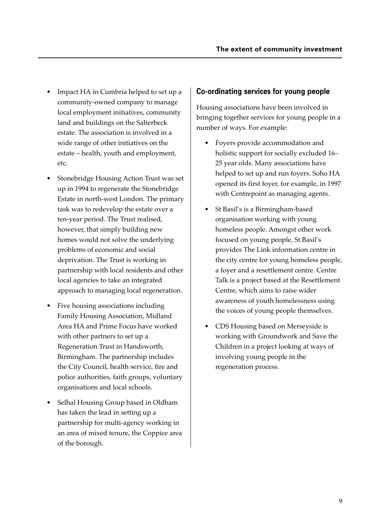- Impact HA in Cumbria helped to set up a community-owned company to manage local employment initiatives, community land and buildings on the Salterbeck estate. The association is involved in a wide range of other initiatives on the estate – health, youth and employment, etc.
- Stonebridge Housing Action Trust was set up in 1994 to regenerate the Stonebridge Estate in north-west London. The primary task was to redevelop the estate over a ten-year period. The Trust realised, however, that simply building new homes would not solve the underlying problems of economic and social deprivation. The Trust is working in partnership with local residents and other local agencies to take an integrated approach to managing local regeneration.
- Five housing associations including Family Housing Association, Midland Area HA and Prime Focus have worked with other partners to set up a Regeneration Trust in Handsworth, Birmingham. The partnership includes the City Council, health service, fire and police authorities, faith groups, voluntary organisations and local schools.
- Selhal Housing Group based in Oldham has taken the lead in setting up a partnership for multi-agency working in an area of mixed tenure, the Coppice area of the borough.

## **Co-ordinating services for young people**

Housing associations have been involved in bringing together services for young people in a number of ways. For example:

- Foyers provide accommodation and holistic support for socially excluded 16– 25 year olds. Many associations have helped to set up and run foyers. Soho HA opened its first foyer, for example, in 1997 with Centrepoint as managing agents.
- St Basil's is a Birmingham-based organisation working with young homeless people. Amongst other work focused on young people, St Basil's provides The Link information centre in the city centre for young homeless people, a foyer and a resettlement centre. Centre Talk is a project based at the Resettlement Centre, which aims to raise wider awareness of youth homelessness using the voices of young people themselves.
- CDS Housing based on Merseyside is working with Groundwork and Save the Children in a project looking at ways of involving young people in the regeneration process.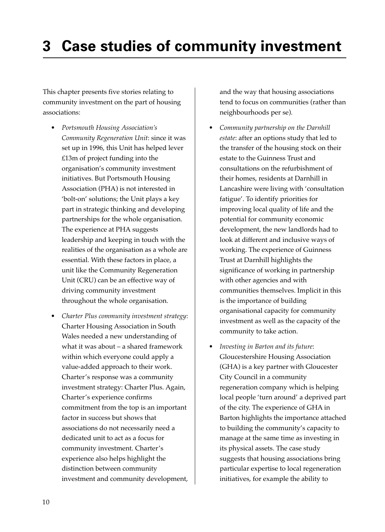## **3 Case studies of community investment**

This chapter presents five stories relating to community investment on the part of housing associations:

- *Portsmouth Housing Association's Community Regeneration Unit*: since it was set up in 1996, this Unit has helped lever £13m of project funding into the organisation's community investment initiatives. But Portsmouth Housing Association (PHA) is not interested in 'bolt-on' solutions; the Unit plays a key part in strategic thinking and developing partnerships for the whole organisation. The experience at PHA suggests leadership and keeping in touch with the realities of the organisation as a whole are essential. With these factors in place, a unit like the Community Regeneration Unit (CRU) can be an effective way of driving community investment throughout the whole organisation.
- *Charter Plus community investment strategy*: Charter Housing Association in South Wales needed a new understanding of what it was about – a shared framework within which everyone could apply a value-added approach to their work. Charter's response was a community investment strategy: Charter Plus. Again, Charter's experience confirms commitment from the top is an important factor in success but shows that associations do not necessarily need a dedicated unit to act as a focus for community investment. Charter's experience also helps highlight the distinction between community investment and community development,

and the way that housing associations tend to focus on communities (rather than neighbourhoods per se).

- *Community partnership on the Darnhill estate*: after an options study that led to the transfer of the housing stock on their estate to the Guinness Trust and consultations on the refurbishment of their homes, residents at Darnhill in Lancashire were living with 'consultation fatigue'. To identify priorities for improving local quality of life and the potential for community economic development, the new landlords had to look at different and inclusive ways of working. The experience of Guinness Trust at Darnhill highlights the significance of working in partnership with other agencies and with communities themselves. Implicit in this is the importance of building organisational capacity for community investment as well as the capacity of the community to take action.
- *Investing in Barton and its future*: Gloucestershire Housing Association (GHA) is a key partner with Gloucester City Council in a community regeneration company which is helping local people 'turn around' a deprived part of the city. The experience of GHA in Barton highlights the importance attached to building the community's capacity to manage at the same time as investing in its physical assets. The case study suggests that housing associations bring particular expertise to local regeneration initiatives, for example the ability to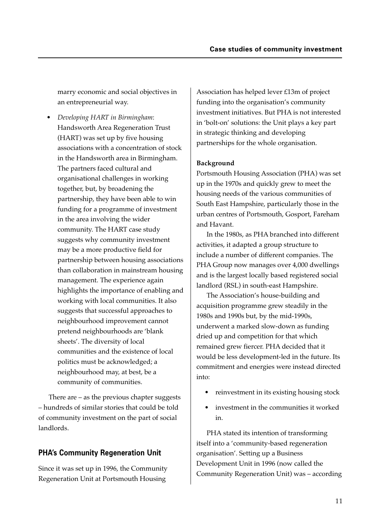marry economic and social objectives in an entrepreneurial way.

• *Developing HART in Birmingham*: Handsworth Area Regeneration Trust (HART) was set up by five housing associations with a concentration of stock in the Handsworth area in Birmingham. The partners faced cultural and organisational challenges in working together, but, by broadening the partnership, they have been able to win funding for a programme of investment in the area involving the wider community. The HART case study suggests why community investment may be a more productive field for partnership between housing associations than collaboration in mainstream housing management. The experience again highlights the importance of enabling and working with local communities. It also suggests that successful approaches to neighbourhood improvement cannot pretend neighbourhoods are 'blank sheets'. The diversity of local communities and the existence of local politics must be acknowledged; a neighbourhood may, at best, be a community of communities.

There are – as the previous chapter suggests – hundreds of similar stories that could be told of community investment on the part of social landlords.

## **PHA's Community Regeneration Unit**

Since it was set up in 1996, the Community Regeneration Unit at Portsmouth Housing

Association has helped lever £13m of project funding into the organisation's community investment initiatives. But PHA is not interested in 'bolt-on' solutions: the Unit plays a key part in strategic thinking and developing partnerships for the whole organisation.

#### **Background**

Portsmouth Housing Association (PHA) was set up in the 1970s and quickly grew to meet the housing needs of the various communities of South East Hampshire, particularly those in the urban centres of Portsmouth, Gosport, Fareham and Havant.

In the 1980s, as PHA branched into different activities, it adapted a group structure to include a number of different companies. The PHA Group now manages over 4,000 dwellings and is the largest locally based registered social landlord (RSL) in south-east Hampshire.

The Association's house-building and acquisition programme grew steadily in the 1980s and 1990s but, by the mid-1990s, underwent a marked slow-down as funding dried up and competition for that which remained grew fiercer. PHA decided that it would be less development-led in the future. Its commitment and energies were instead directed into:

- reinvestment in its existing housing stock
- investment in the communities it worked in.

PHA stated its intention of transforming itself into a 'community-based regeneration organisation'. Setting up a Business Development Unit in 1996 (now called the Community Regeneration Unit) was – according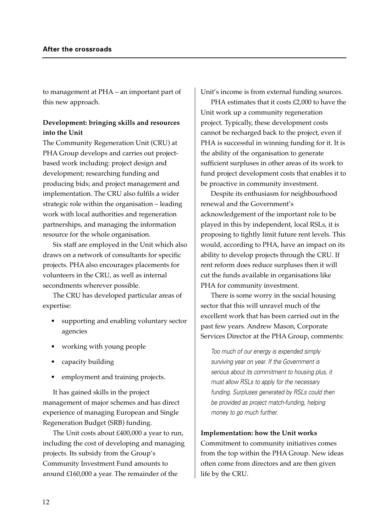to management at PHA – an important part of this new approach.

### **Development: bringing skills and resources into the Unit**

The Community Regeneration Unit (CRU) at PHA Group develops and carries out projectbased work including: project design and development; researching funding and producing bids; and project management and implementation. The CRU also fulfils a wider strategic role within the organisation – leading work with local authorities and regeneration partnerships, and managing the information resource for the whole organisation.

Six staff are employed in the Unit which also draws on a network of consultants for specific projects. PHA also encourages placements for volunteers in the CRU, as well as internal secondments wherever possible.

The CRU has developed particular areas of expertise:

- supporting and enabling voluntary sector agencies
- working with young people
- capacity building
- employment and training projects.

It has gained skills in the project management of major schemes and has direct experience of managing European and Single Regeneration Budget (SRB) funding.

The Unit costs about £400,000 a year to run, including the cost of developing and managing projects. Its subsidy from the Group's Community Investment Fund amounts to around £160,000 a year. The remainder of the

Unit's income is from external funding sources.

PHA estimates that it costs £2,000 to have the Unit work up a community regeneration project. Typically, these development costs cannot be recharged back to the project, even if PHA is successful in winning funding for it. It is the ability of the organisation to generate sufficient surpluses in other areas of its work to fund project development costs that enables it to be proactive in community investment.

Despite its enthusiasm for neighbourhood renewal and the Government's acknowledgement of the important role to be played in this by independent, local RSLs, it is proposing to tightly limit future rent levels. This would, according to PHA, have an impact on its ability to develop projects through the CRU. If rent reform does reduce surpluses then it will cut the funds available in organisations like PHA for community investment.

There is some worry in the social housing sector that this will unravel much of the excellent work that has been carried out in the past few years. Andrew Mason, Corporate Services Director at the PHA Group, comments:

Too much of our energy is expended simply surviving year on year. If the Government is serious about its commitment to housing plus, it must allow RSLs to apply for the necessary funding. Surpluses generated by RSLs could then be provided as project match-funding, helping money to go much further.

#### **Implementation: how the Unit works**

Commitment to community initiatives comes from the top within the PHA Group. New ideas often come from directors and are then given life by the CRU.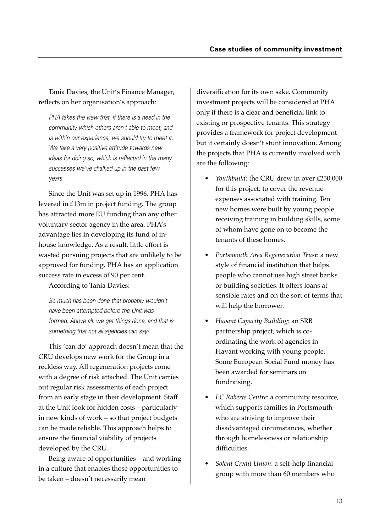Tania Davies, the Unit's Finance Manager, reflects on her organisation's approach:

PHA takes the view that, if there is a need in the community which others aren't able to meet, and is within our experience, we should try to meet it. We take a very positive attitude towards new ideas for doing so, which is reflected in the many successes we've chalked up in the past few years.

Since the Unit was set up in 1996, PHA has levered in £13m in project funding. The group has attracted more EU funding than any other voluntary sector agency in the area. PHA's advantage lies in developing its fund of inhouse knowledge. As a result, little effort is wasted pursuing projects that are unlikely to be approved for funding. PHA has an application success rate in excess of 90 per cent.

According to Tania Davies:

So much has been done that probably wouldn't have been attempted before the Unit was formed. Above all, we get things done, and that is something that not all agencies can say!

This 'can do' approach doesn't mean that the CRU develops new work for the Group in a reckless way. All regeneration projects come with a degree of risk attached. The Unit carries out regular risk assessments of each project from an early stage in their development. Staff at the Unit look for hidden costs – particularly in new kinds of work – so that project budgets can be made reliable. This approach helps to ensure the financial viability of projects developed by the CRU.

Being aware of opportunities – and working in a culture that enables those opportunities to be taken – doesn't necessarily mean

diversification for its own sake. Community investment projects will be considered at PHA only if there is a clear and beneficial link to existing or prospective tenants. This strategy provides a framework for project development but it certainly doesn't stunt innovation. Among the projects that PHA is currently involved with are the following:

- *Youthbuild*: the CRU drew in over £250,000 for this project, to cover the revenue expenses associated with training. Ten new homes were built by young people receiving training in building skills, some of whom have gone on to become the tenants of these homes.
- *Portsmouth Area Regeneration Trust*: a new style of financial institution that helps people who cannot use high street banks or building societies. It offers loans at sensible rates and on the sort of terms that will help the borrower.
- *Havant Capacity Building*: an SRB partnership project, which is coordinating the work of agencies in Havant working with young people. Some European Social Fund money has been awarded for seminars on fundraising.
- *EC Roberts Centre*: a community resource, which supports families in Portsmouth who are striving to improve their disadvantaged circumstances, whether through homelessness or relationship difficulties.
- *Solent Credit Union*: a self-help financial group with more than 60 members who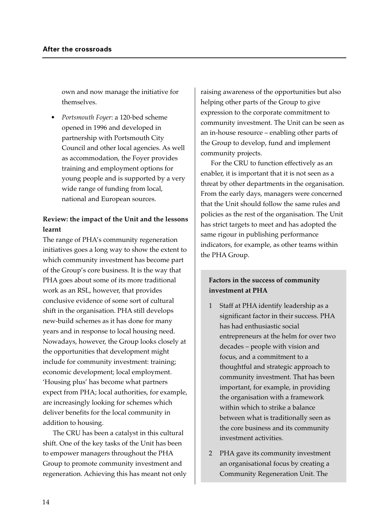own and now manage the initiative for themselves.

• *Portsmouth Foyer*: a 120-bed scheme opened in 1996 and developed in partnership with Portsmouth City Council and other local agencies. As well as accommodation, the Foyer provides training and employment options for young people and is supported by a very wide range of funding from local, national and European sources.

### **Review: the impact of the Unit and the lessons learnt**

The range of PHA's community regeneration initiatives goes a long way to show the extent to which community investment has become part of the Group's core business. It is the way that PHA goes about some of its more traditional work as an RSL, however, that provides conclusive evidence of some sort of cultural shift in the organisation. PHA still develops new-build schemes as it has done for many years and in response to local housing need. Nowadays, however, the Group looks closely at the opportunities that development might include for community investment: training; economic development; local employment. 'Housing plus' has become what partners expect from PHA; local authorities, for example, are increasingly looking for schemes which deliver benefits for the local community in addition to housing.

The CRU has been a catalyst in this cultural shift. One of the key tasks of the Unit has been to empower managers throughout the PHA Group to promote community investment and regeneration. Achieving this has meant not only raising awareness of the opportunities but also helping other parts of the Group to give expression to the corporate commitment to community investment. The Unit can be seen as an in-house resource – enabling other parts of the Group to develop, fund and implement community projects.

For the CRU to function effectively as an enabler, it is important that it is not seen as a threat by other departments in the organisation. From the early days, managers were concerned that the Unit should follow the same rules and policies as the rest of the organisation. The Unit has strict targets to meet and has adopted the same rigour in publishing performance indicators, for example, as other teams within the PHA Group.

## **Factors in the success of community investment at PHA**

- 1 Staff at PHA identify leadership as a significant factor in their success. PHA has had enthusiastic social entrepreneurs at the helm for over two decades – people with vision and focus, and a commitment to a thoughtful and strategic approach to community investment. That has been important, for example, in providing the organisation with a framework within which to strike a balance between what is traditionally seen as the core business and its community investment activities.
- 2 PHA gave its community investment an organisational focus by creating a Community Regeneration Unit. The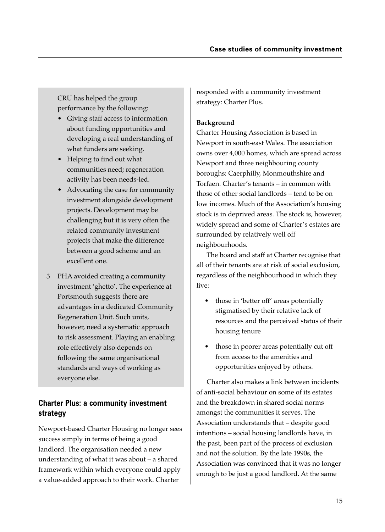CRU has helped the group performance by the following:

- Giving staff access to information about funding opportunities and developing a real understanding of what funders are seeking.
- Helping to find out what communities need; regeneration activity has been needs-led.
- Advocating the case for community investment alongside development projects. Development may be challenging but it is very often the related community investment projects that make the difference between a good scheme and an excellent one.
- 3 PHA avoided creating a community investment 'ghetto'. The experience at Portsmouth suggests there are advantages in a dedicated Community Regeneration Unit. Such units, however, need a systematic approach to risk assessment. Playing an enabling role effectively also depends on following the same organisational standards and ways of working as everyone else.

## **Charter Plus: a community investment strategy**

Newport-based Charter Housing no longer sees success simply in terms of being a good landlord. The organisation needed a new understanding of what it was about – a shared framework within which everyone could apply a value-added approach to their work. Charter

responded with a community investment strategy: Charter Plus.

### **Background**

Charter Housing Association is based in Newport in south-east Wales. The association owns over 4,000 homes, which are spread across Newport and three neighbouring county boroughs: Caerphilly, Monmouthshire and Torfaen. Charter's tenants – in common with those of other social landlords – tend to be on low incomes. Much of the Association's housing stock is in deprived areas. The stock is, however, widely spread and some of Charter's estates are surrounded by relatively well off neighbourhoods.

The board and staff at Charter recognise that all of their tenants are at risk of social exclusion, regardless of the neighbourhood in which they live:

- those in 'better off' areas potentially stigmatised by their relative lack of resources and the perceived status of their housing tenure
- those in poorer areas potentially cut off from access to the amenities and opportunities enjoyed by others.

Charter also makes a link between incidents of anti-social behaviour on some of its estates and the breakdown in shared social norms amongst the communities it serves. The Association understands that – despite good intentions – social housing landlords have, in the past, been part of the process of exclusion and not the solution. By the late 1990s, the Association was convinced that it was no longer enough to be just a good landlord. At the same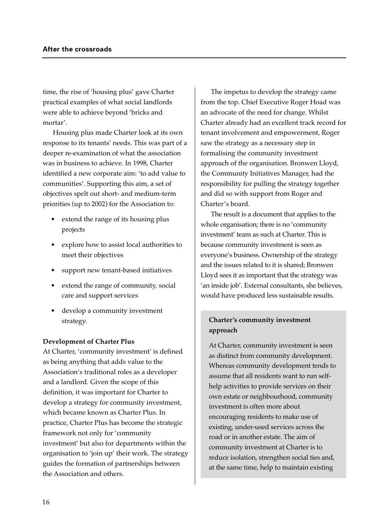time, the rise of 'housing plus' gave Charter practical examples of what social landlords were able to achieve beyond 'bricks and mortar'.

Housing plus made Charter look at its own response to its tenants' needs. This was part of a deeper re-examination of what the association was in business to achieve. In 1998, Charter identified a new corporate aim: 'to add value to communities'. Supporting this aim, a set of objectives spelt out short- and medium-term priorities (up to 2002) for the Association to:

- extend the range of its housing plus projects
- explore how to assist local authorities to meet their objectives
- support new tenant-based initiatives
- extend the range of community, social care and support services
- develop a community investment strategy.

#### **Development of Charter Plus**

At Charter, 'community investment' is defined as being anything that adds value to the Association's traditional roles as a developer and a landlord. Given the scope of this definition, it was important for Charter to develop a strategy for community investment, which became known as Charter Plus. In practice, Charter Plus has become the strategic framework not only for 'community investment' but also for departments within the organisation to 'join up' their work. The strategy guides the formation of partnerships between the Association and others.

The impetus to develop the strategy came from the top. Chief Executive Roger Hoad was an advocate of the need for change. Whilst Charter already had an excellent track record for tenant involvement and empowerment, Roger saw the strategy as a necessary step in formalising the community investment approach of the organisation. Bronwen Lloyd, the Community Initiatives Manager, had the responsibility for pulling the strategy together and did so with support from Roger and Charter's board.

The result is a document that applies to the whole organisation; there is no 'community investment' team as such at Charter. This is because community investment is seen as everyone's business. Ownership of the strategy and the issues related to it is shared; Bronwen Lloyd sees it as important that the strategy was 'an inside job'. External consultants, she believes, would have produced less sustainable results.

## **Charter's community investment approach**

At Charter, community investment is seen as distinct from community development. Whereas community development tends to assume that all residents want to run selfhelp activities to provide services on their own estate or neighbourhood, community investment is often more about encouraging residents to make use of existing, under-used services across the road or in another estate. The aim of community investment at Charter is to reduce isolation, strengthen social ties and, at the same time, help to maintain existing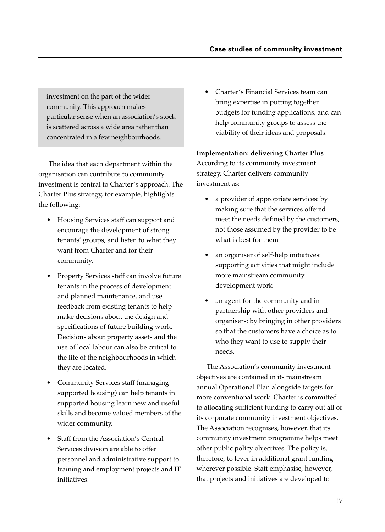investment on the part of the wider community. This approach makes particular sense when an association's stock is scattered across a wide area rather than concentrated in a few neighbourhoods.

The idea that each department within the organisation can contribute to community investment is central to Charter's approach. The Charter Plus strategy, for example, highlights the following:

- Housing Services staff can support and encourage the development of strong tenants' groups, and listen to what they want from Charter and for their community.
- Property Services staff can involve future tenants in the process of development and planned maintenance, and use feedback from existing tenants to help make decisions about the design and specifications of future building work. Decisions about property assets and the use of local labour can also be critical to the life of the neighbourhoods in which they are located.
- Community Services staff (managing supported housing) can help tenants in supported housing learn new and useful skills and become valued members of the wider community.
- Staff from the Association's Central Services division are able to offer personnel and administrative support to training and employment projects and IT initiatives.

• Charter's Financial Services team can bring expertise in putting together budgets for funding applications, and can help community groups to assess the viability of their ideas and proposals.

#### **Implementation: delivering Charter Plus**

According to its community investment strategy, Charter delivers community investment as:

- a provider of appropriate services: by making sure that the services offered meet the needs defined by the customers, not those assumed by the provider to be what is best for them
- an organiser of self-help initiatives: supporting activities that might include more mainstream community development work
- an agent for the community and in partnership with other providers and organisers: by bringing in other providers so that the customers have a choice as to who they want to use to supply their needs.

The Association's community investment objectives are contained in its mainstream annual Operational Plan alongside targets for more conventional work. Charter is committed to allocating sufficient funding to carry out all of its corporate community investment objectives. The Association recognises, however, that its community investment programme helps meet other public policy objectives. The policy is, therefore, to lever in additional grant funding wherever possible. Staff emphasise, however, that projects and initiatives are developed to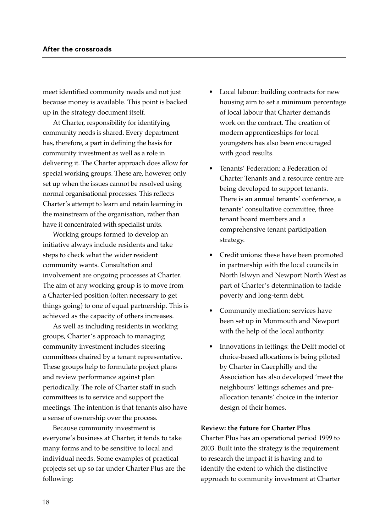meet identified community needs and not just because money is available. This point is backed up in the strategy document itself.

At Charter, responsibility for identifying community needs is shared. Every department has, therefore, a part in defining the basis for community investment as well as a role in delivering it. The Charter approach does allow for special working groups. These are, however, only set up when the issues cannot be resolved using normal organisational processes. This reflects Charter's attempt to learn and retain learning in the mainstream of the organisation, rather than have it concentrated with specialist units.

Working groups formed to develop an initiative always include residents and take steps to check what the wider resident community wants. Consultation and involvement are ongoing processes at Charter. The aim of any working group is to move from a Charter-led position (often necessary to get things going) to one of equal partnership. This is achieved as the capacity of others increases.

As well as including residents in working groups, Charter's approach to managing community investment includes steering committees chaired by a tenant representative. These groups help to formulate project plans and review performance against plan periodically. The role of Charter staff in such committees is to service and support the meetings. The intention is that tenants also have a sense of ownership over the process.

Because community investment is everyone's business at Charter, it tends to take many forms and to be sensitive to local and individual needs. Some examples of practical projects set up so far under Charter Plus are the following:

- Local labour: building contracts for new housing aim to set a minimum percentage of local labour that Charter demands work on the contract. The creation of modern apprenticeships for local youngsters has also been encouraged with good results.
- Tenants' Federation: a Federation of Charter Tenants and a resource centre are being developed to support tenants. There is an annual tenants' conference, a tenants' consultative committee, three tenant board members and a comprehensive tenant participation strategy.
- Credit unions: these have been promoted in partnership with the local councils in North Islwyn and Newport North West as part of Charter's determination to tackle poverty and long-term debt.
- Community mediation: services have been set up in Monmouth and Newport with the help of the local authority.
- Innovations in lettings: the Delft model of choice-based allocations is being piloted by Charter in Caerphilly and the Association has also developed 'meet the neighbours' lettings schemes and preallocation tenants' choice in the interior design of their homes.

#### **Review: the future for Charter Plus**

Charter Plus has an operational period 1999 to 2003. Built into the strategy is the requirement to research the impact it is having and to identify the extent to which the distinctive approach to community investment at Charter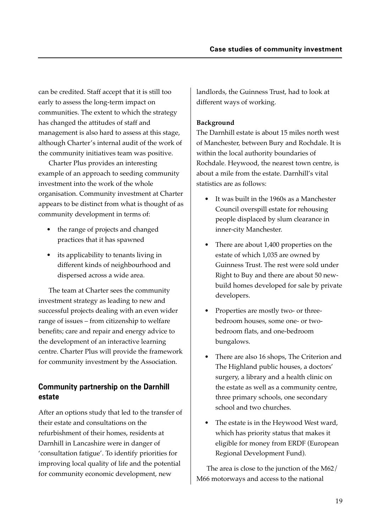can be credited. Staff accept that it is still too early to assess the long-term impact on communities. The extent to which the strategy has changed the attitudes of staff and management is also hard to assess at this stage, although Charter's internal audit of the work of the community initiatives team was positive.

Charter Plus provides an interesting example of an approach to seeding community investment into the work of the whole organisation. Community investment at Charter appears to be distinct from what is thought of as community development in terms of:

- the range of projects and changed practices that it has spawned
- its applicability to tenants living in different kinds of neighbourhood and dispersed across a wide area.

The team at Charter sees the community investment strategy as leading to new and successful projects dealing with an even wider range of issues – from citizenship to welfare benefits; care and repair and energy advice to the development of an interactive learning centre. Charter Plus will provide the framework for community investment by the Association.

## **Community partnership on the Darnhill estate**

After an options study that led to the transfer of their estate and consultations on the refurbishment of their homes, residents at Darnhill in Lancashire were in danger of 'consultation fatigue'. To identify priorities for improving local quality of life and the potential for community economic development, new

landlords, the Guinness Trust, had to look at different ways of working.

## **Background**

The Darnhill estate is about 15 miles north west of Manchester, between Bury and Rochdale. It is within the local authority boundaries of Rochdale. Heywood, the nearest town centre, is about a mile from the estate. Darnhill's vital statistics are as follows:

- It was built in the 1960s as a Manchester Council overspill estate for rehousing people displaced by slum clearance in inner-city Manchester.
- There are about 1,400 properties on the estate of which 1,035 are owned by Guinness Trust. The rest were sold under Right to Buy and there are about 50 newbuild homes developed for sale by private developers.
- Properties are mostly two- or threebedroom houses, some one- or twobedroom flats, and one-bedroom bungalows.
- There are also 16 shops, The Criterion and The Highland public houses, a doctors' surgery, a library and a health clinic on the estate as well as a community centre, three primary schools, one secondary school and two churches.
- The estate is in the Heywood West ward, which has priority status that makes it eligible for money from ERDF (European Regional Development Fund).

The area is close to the junction of the M62/ M66 motorways and access to the national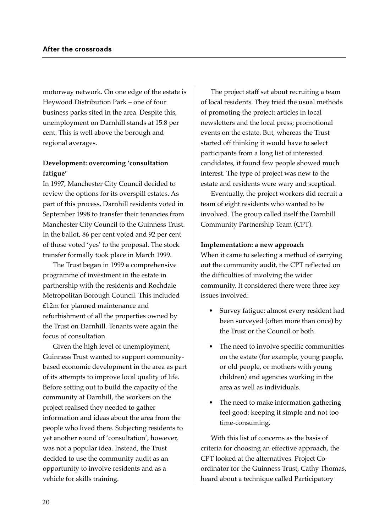motorway network. On one edge of the estate is Heywood Distribution Park – one of four business parks sited in the area. Despite this, unemployment on Darnhill stands at 15.8 per cent. This is well above the borough and regional averages.

### **Development: overcoming 'consultation fatigue'**

In 1997, Manchester City Council decided to review the options for its overspill estates. As part of this process, Darnhill residents voted in September 1998 to transfer their tenancies from Manchester City Council to the Guinness Trust. In the ballot, 86 per cent voted and 92 per cent of those voted 'yes' to the proposal. The stock transfer formally took place in March 1999.

The Trust began in 1999 a comprehensive programme of investment in the estate in partnership with the residents and Rochdale Metropolitan Borough Council. This included £12m for planned maintenance and refurbishment of all the properties owned by the Trust on Darnhill. Tenants were again the focus of consultation.

Given the high level of unemployment, Guinness Trust wanted to support communitybased economic development in the area as part of its attempts to improve local quality of life. Before setting out to build the capacity of the community at Darnhill, the workers on the project realised they needed to gather information and ideas about the area from the people who lived there. Subjecting residents to yet another round of 'consultation', however, was not a popular idea. Instead, the Trust decided to use the community audit as an opportunity to involve residents and as a vehicle for skills training.

The project staff set about recruiting a team of local residents. They tried the usual methods of promoting the project: articles in local newsletters and the local press; promotional events on the estate. But, whereas the Trust started off thinking it would have to select participants from a long list of interested candidates, it found few people showed much interest. The type of project was new to the estate and residents were wary and sceptical.

Eventually, the project workers did recruit a team of eight residents who wanted to be involved. The group called itself the Darnhill Community Partnership Team (CPT).

#### **Implementation: a new approach**

When it came to selecting a method of carrying out the community audit, the CPT reflected on the difficulties of involving the wider community. It considered there were three key issues involved:

- Survey fatigue: almost every resident had been surveyed (often more than once) by the Trust or the Council or both.
- The need to involve specific communities on the estate (for example, young people, or old people, or mothers with young children) and agencies working in the area as well as individuals.
- The need to make information gathering feel good: keeping it simple and not too time-consuming.

With this list of concerns as the basis of criteria for choosing an effective approach, the CPT looked at the alternatives. Project Coordinator for the Guinness Trust, Cathy Thomas, heard about a technique called Participatory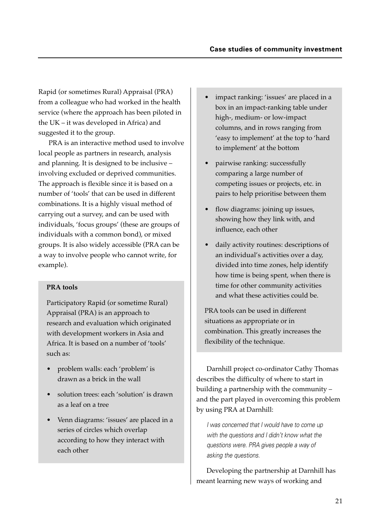Rapid (or sometimes Rural) Appraisal (PRA) from a colleague who had worked in the health service (where the approach has been piloted in the UK – it was developed in Africa) and suggested it to the group.

PRA is an interactive method used to involve local people as partners in research, analysis and planning. It is designed to be inclusive – involving excluded or deprived communities. The approach is flexible since it is based on a number of 'tools' that can be used in different combinations. It is a highly visual method of carrying out a survey, and can be used with individuals, 'focus groups' (these are groups of individuals with a common bond), or mixed groups. It is also widely accessible (PRA can be a way to involve people who cannot write, for example).

#### **PRA tools**

Participatory Rapid (or sometime Rural) Appraisal (PRA) is an approach to research and evaluation which originated with development workers in Asia and Africa. It is based on a number of 'tools' such as:

- problem walls: each 'problem' is drawn as a brick in the wall
- solution trees: each 'solution' is drawn as a leaf on a tree
- Venn diagrams: 'issues' are placed in a series of circles which overlap according to how they interact with each other
- impact ranking: 'issues' are placed in a box in an impact-ranking table under high-, medium- or low-impact columns, and in rows ranging from 'easy to implement' at the top to 'hard to implement' at the bottom
- pairwise ranking: successfully comparing a large number of competing issues or projects, etc. in pairs to help prioritise between them
- flow diagrams: joining up issues, showing how they link with, and influence, each other
- daily activity routines: descriptions of an individual's activities over a day, divided into time zones, help identify how time is being spent, when there is time for other community activities and what these activities could be.

PRA tools can be used in different situations as appropriate or in combination. This greatly increases the flexibility of the technique.

Darnhill project co-ordinator Cathy Thomas describes the difficulty of where to start in building a partnership with the community – and the part played in overcoming this problem by using PRA at Darnhill:

I was concerned that I would have to come up with the questions and I didn't know what the questions were. PRA gives people a way of asking the questions.

Developing the partnership at Darnhill has meant learning new ways of working and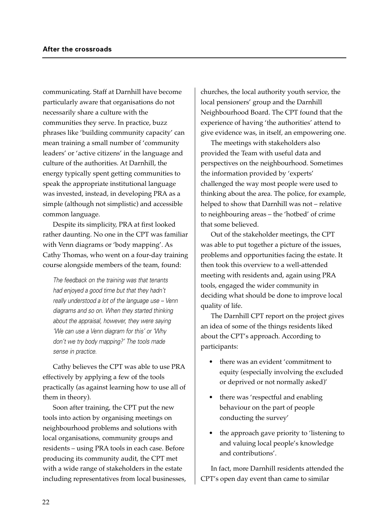communicating. Staff at Darnhill have become particularly aware that organisations do not necessarily share a culture with the communities they serve. In practice, buzz phrases like 'building community capacity' can mean training a small number of 'community leaders' or 'active citizens' in the language and culture of the authorities. At Darnhill, the energy typically spent getting communities to speak the appropriate institutional language was invested, instead, in developing PRA as a simple (although not simplistic) and accessible common language.

Despite its simplicity, PRA at first looked rather daunting. No one in the CPT was familiar with Venn diagrams or 'body mapping'. As Cathy Thomas, who went on a four-day training course alongside members of the team, found:

The feedback on the training was that tenants had enjoyed a good time but that they hadn't really understood a lot of the language use – Venn diagrams and so on. When they started thinking about the appraisal, however, they were saying 'We can use a Venn diagram for this' or 'Why don't we try body mapping?' The tools made sense in practice.

Cathy believes the CPT was able to use PRA effectively by applying a few of the tools practically (as against learning how to use all of them in theory).

Soon after training, the CPT put the new tools into action by organising meetings on neighbourhood problems and solutions with local organisations, community groups and residents – using PRA tools in each case. Before producing its community audit, the CPT met with a wide range of stakeholders in the estate including representatives from local businesses,

churches, the local authority youth service, the local pensioners' group and the Darnhill Neighbourhood Board. The CPT found that the experience of having 'the authorities' attend to give evidence was, in itself, an empowering one.

The meetings with stakeholders also provided the Team with useful data and perspectives on the neighbourhood. Sometimes the information provided by 'experts' challenged the way most people were used to thinking about the area. The police, for example, helped to show that Darnhill was not – relative to neighbouring areas – the 'hotbed' of crime that some believed.

Out of the stakeholder meetings, the CPT was able to put together a picture of the issues, problems and opportunities facing the estate. It then took this overview to a well-attended meeting with residents and, again using PRA tools, engaged the wider community in deciding what should be done to improve local quality of life.

The Darnhill CPT report on the project gives an idea of some of the things residents liked about the CPT's approach. According to participants:

- there was an evident 'commitment to equity (especially involving the excluded or deprived or not normally asked)'
- there was 'respectful and enabling behaviour on the part of people conducting the survey'
- the approach gave priority to 'listening to and valuing local people's knowledge and contributions'.

In fact, more Darnhill residents attended the CPT's open day event than came to similar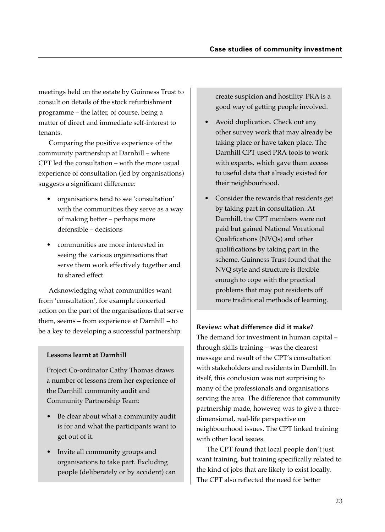meetings held on the estate by Guinness Trust to consult on details of the stock refurbishment programme – the latter, of course, being a matter of direct and immediate self-interest to tenants.

Comparing the positive experience of the community partnership at Darnhill – where CPT led the consultation – with the more usual experience of consultation (led by organisations) suggests a significant difference:

- organisations tend to see 'consultation' with the communities they serve as a way of making better – perhaps more defensible – decisions
- communities are more interested in seeing the various organisations that serve them work effectively together and to shared effect.

Acknowledging what communities want from 'consultation', for example concerted action on the part of the organisations that serve them, seems – from experience at Darnhill – to be a key to developing a successful partnership. **Review: what difference did it make?**

## **Lessons learnt at Darnhill**

Project Co-ordinator Cathy Thomas draws a number of lessons from her experience of the Darnhill community audit and Community Partnership Team:

- Be clear about what a community audit is for and what the participants want to get out of it.
- Invite all community groups and organisations to take part. Excluding people (deliberately or by accident) can

create suspicion and hostility. PRA is a good way of getting people involved.

- Avoid duplication. Check out any other survey work that may already be taking place or have taken place. The Darnhill CPT used PRA tools to work with experts, which gave them access to useful data that already existed for their neighbourhood.
- Consider the rewards that residents get by taking part in consultation. At Darnhill, the CPT members were not paid but gained National Vocational Qualifications (NVQs) and other qualifications by taking part in the scheme. Guinness Trust found that the NVQ style and structure is flexible enough to cope with the practical problems that may put residents off more traditional methods of learning.

The demand for investment in human capital – through skills training – was the clearest message and result of the CPT's consultation with stakeholders and residents in Darnhill. In itself, this conclusion was not surprising to many of the professionals and organisations serving the area. The difference that community partnership made, however, was to give a threedimensional, real-life perspective on neighbourhood issues. The CPT linked training with other local issues.

The CPT found that local people don't just want training, but training specifically related to the kind of jobs that are likely to exist locally. The CPT also reflected the need for better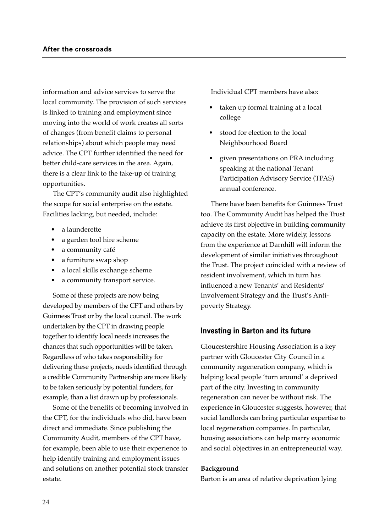information and advice services to serve the local community. The provision of such services is linked to training and employment since moving into the world of work creates all sorts of changes (from benefit claims to personal relationships) about which people may need advice. The CPT further identified the need for better child-care services in the area. Again, there is a clear link to the take-up of training opportunities.

The CPT's community audit also highlighted the scope for social enterprise on the estate. Facilities lacking, but needed, include:

- a launderette
- a garden tool hire scheme
- a community café
- a furniture swap shop
- a local skills exchange scheme
- a community transport service.

Some of these projects are now being developed by members of the CPT and others by Guinness Trust or by the local council. The work undertaken by the CPT in drawing people together to identify local needs increases the chances that such opportunities will be taken. Regardless of who takes responsibility for delivering these projects, needs identified through a credible Community Partnership are more likely to be taken seriously by potential funders, for example, than a list drawn up by professionals.

Some of the benefits of becoming involved in the CPT, for the individuals who did, have been direct and immediate. Since publishing the Community Audit, members of the CPT have, for example, been able to use their experience to help identify training and employment issues and solutions on another potential stock transfer estate.

Individual CPT members have also:

- taken up formal training at a local college
- stood for election to the local Neighbourhood Board
- given presentations on PRA including speaking at the national Tenant Participation Advisory Service (TPAS) annual conference.

There have been benefits for Guinness Trust too. The Community Audit has helped the Trust achieve its first objective in building community capacity on the estate. More widely, lessons from the experience at Darnhill will inform the development of similar initiatives throughout the Trust. The project coincided with a review of resident involvement, which in turn has influenced a new Tenants' and Residents' Involvement Strategy and the Trust's Antipoverty Strategy.

## **Investing in Barton and its future**

Gloucestershire Housing Association is a key partner with Gloucester City Council in a community regeneration company, which is helping local people 'turn around' a deprived part of the city. Investing in community regeneration can never be without risk. The experience in Gloucester suggests, however, that social landlords can bring particular expertise to local regeneration companies. In particular, housing associations can help marry economic and social objectives in an entrepreneurial way.

#### **Background**

Barton is an area of relative deprivation lying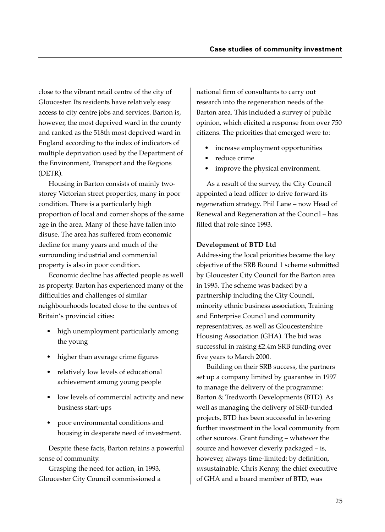close to the vibrant retail centre of the city of Gloucester. Its residents have relatively easy access to city centre jobs and services. Barton is, however, the most deprived ward in the county and ranked as the 518th most deprived ward in England according to the index of indicators of multiple deprivation used by the Department of the Environment, Transport and the Regions (DETR).

Housing in Barton consists of mainly twostorey Victorian street properties, many in poor condition. There is a particularly high proportion of local and corner shops of the same age in the area. Many of these have fallen into disuse. The area has suffered from economic decline for many years and much of the surrounding industrial and commercial property is also in poor condition.

Economic decline has affected people as well as property. Barton has experienced many of the difficulties and challenges of similar neighbourhoods located close to the centres of Britain's provincial cities:

- high unemployment particularly among the young
- higher than average crime figures
- relatively low levels of educational achievement among young people
- low levels of commercial activity and new business start-ups
- poor environmental conditions and housing in desperate need of investment.

Despite these facts, Barton retains a powerful sense of community.

Grasping the need for action, in 1993, Gloucester City Council commissioned a national firm of consultants to carry out research into the regeneration needs of the Barton area. This included a survey of public opinion, which elicited a response from over 750 citizens. The priorities that emerged were to:

- increase employment opportunities
- reduce crime
- improve the physical environment.

As a result of the survey, the City Council appointed a lead officer to drive forward its regeneration strategy. Phil Lane – now Head of Renewal and Regeneration at the Council – has filled that role since 1993.

#### **Development of BTD Ltd**

Addressing the local priorities became the key objective of the SRB Round 1 scheme submitted by Gloucester City Council for the Barton area in 1995. The scheme was backed by a partnership including the City Council, minority ethnic business association, Training and Enterprise Council and community representatives, as well as Gloucestershire Housing Association (GHA). The bid was successful in raising £2.4m SRB funding over five years to March 2000.

Building on their SRB success, the partners set up a company limited by guarantee in 1997 to manage the delivery of the programme: Barton & Tredworth Developments (BTD). As well as managing the delivery of SRB-funded projects, BTD has been successful in levering further investment in the local community from other sources. Grant funding – whatever the source and however cleverly packaged – is, however, always time-limited: by definition, *un*sustainable. Chris Kenny, the chief executive of GHA and a board member of BTD, was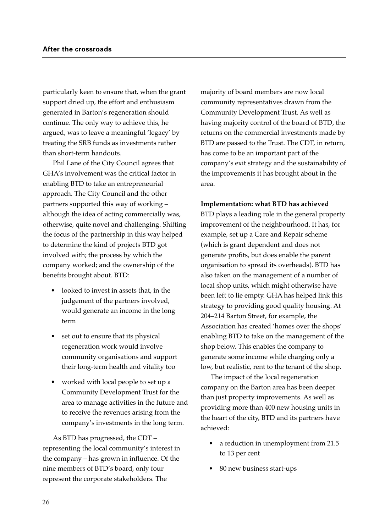particularly keen to ensure that, when the grant support dried up, the effort and enthusiasm generated in Barton's regeneration should continue. The only way to achieve this, he argued, was to leave a meaningful 'legacy' by treating the SRB funds as investments rather than short-term handouts.

Phil Lane of the City Council agrees that GHA's involvement was the critical factor in enabling BTD to take an entrepreneurial approach. The City Council and the other partners supported this way of working – although the idea of acting commercially was, otherwise, quite novel and challenging. Shifting the focus of the partnership in this way helped to determine the kind of projects BTD got involved with; the process by which the company worked; and the ownership of the benefits brought about. BTD:

- looked to invest in assets that, in the judgement of the partners involved, would generate an income in the long term
- set out to ensure that its physical regeneration work would involve community organisations and support their long-term health and vitality too
- worked with local people to set up a Community Development Trust for the area to manage activities in the future and to receive the revenues arising from the company's investments in the long term.

As BTD has progressed, the CDT – representing the local community's interest in the company – has grown in influence. Of the nine members of BTD's board, only four represent the corporate stakeholders. The

majority of board members are now local community representatives drawn from the Community Development Trust. As well as having majority control of the board of BTD, the returns on the commercial investments made by BTD are passed to the Trust. The CDT, in return, has come to be an important part of the company's exit strategy and the sustainability of the improvements it has brought about in the area.

#### **Implementation: what BTD has achieved**

BTD plays a leading role in the general property improvement of the neighbourhood. It has, for example, set up a Care and Repair scheme (which is grant dependent and does not generate profits, but does enable the parent organisation to spread its overheads). BTD has also taken on the management of a number of local shop units, which might otherwise have been left to lie empty. GHA has helped link this strategy to providing good quality housing. At 204–214 Barton Street, for example, the Association has created 'homes over the shops' enabling BTD to take on the management of the shop below. This enables the company to generate some income while charging only a low, but realistic, rent to the tenant of the shop.

The impact of the local regeneration company on the Barton area has been deeper than just property improvements. As well as providing more than 400 new housing units in the heart of the city, BTD and its partners have achieved:

- a reduction in unemployment from 21.5 to 13 per cent
- 80 new business start-ups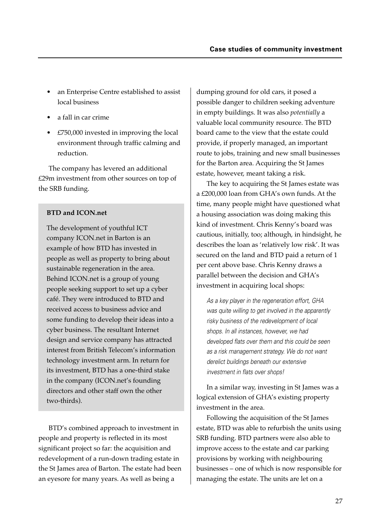- an Enterprise Centre established to assist local business
- a fall in car crime
- £750,000 invested in improving the local environment through traffic calming and reduction.

The company has levered an additional £29m investment from other sources on top of the SRB funding.

## **BTD and ICON.net**

The development of youthful ICT company ICON.net in Barton is an example of how BTD has invested in people as well as property to bring about sustainable regeneration in the area. Behind ICON.net is a group of young people seeking support to set up a cyber café. They were introduced to BTD and received access to business advice and some funding to develop their ideas into a cyber business. The resultant Internet design and service company has attracted interest from British Telecom's information technology investment arm. In return for its investment, BTD has a one-third stake in the company (ICON.net's founding directors and other staff own the other two-thirds).

BTD's combined approach to investment in people and property is reflected in its most significant project so far: the acquisition and redevelopment of a run-down trading estate in the St James area of Barton. The estate had been an eyesore for many years. As well as being a

dumping ground for old cars, it posed a possible danger to children seeking adventure in empty buildings. It was also *potentially* a valuable local community resource. The BTD board came to the view that the estate could provide, if properly managed, an important route to jobs, training and new small businesses for the Barton area. Acquiring the St James estate, however, meant taking a risk.

The key to acquiring the St James estate was a £200,000 loan from GHA's own funds. At the time, many people might have questioned what a housing association was doing making this kind of investment. Chris Kenny's board was cautious, initially, too; although, in hindsight, he describes the loan as 'relatively low risk'. It was secured on the land and BTD paid a return of 1 per cent above base. Chris Kenny draws a parallel between the decision and GHA's investment in acquiring local shops:

As a key player in the regeneration effort, GHA was quite willing to get involved in the apparently risky business of the redevelopment of local shops. In all instances, however, we had developed flats over them and this could be seen as a risk management strategy. We do not want derelict buildings beneath our extensive investment in flats over shops!

In a similar way, investing in St James was a logical extension of GHA's existing property investment in the area.

Following the acquisition of the St James estate, BTD was able to refurbish the units using SRB funding. BTD partners were also able to improve access to the estate and car parking provisions by working with neighbouring businesses – one of which is now responsible for managing the estate. The units are let on a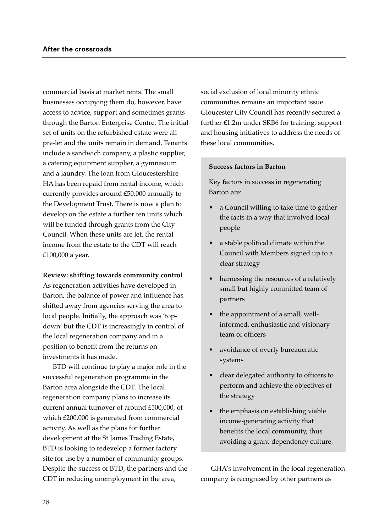commercial basis at market rents. The small businesses occupying them do, however, have access to advice, support and sometimes grants through the Barton Enterprise Centre. The initial set of units on the refurbished estate were all pre-let and the units remain in demand. Tenants include a sandwich company, a plastic supplier, a catering equipment supplier, a gymnasium and a laundry. The loan from Gloucestershire HA has been repaid from rental income, which currently provides around £50,000 annually to the Development Trust. There is now a plan to develop on the estate a further ten units which will be funded through grants from the City Council. When these units are let, the rental income from the estate to the CDT will reach £100,000 a year.

#### **Review: shifting towards community control**

As regeneration activities have developed in Barton, the balance of power and influence has shifted away from agencies serving the area to local people. Initially, the approach was 'topdown' but the CDT is increasingly in control of the local regeneration company and in a position to benefit from the returns on investments it has made.

BTD will continue to play a major role in the successful regeneration programme in the Barton area alongside the CDT. The local regeneration company plans to increase its current annual turnover of around £500,000, of which £200,000 is generated from commercial activity. As well as the plans for further development at the St James Trading Estate, BTD is looking to redevelop a former factory site for use by a number of community groups. Despite the success of BTD, the partners and the CDT in reducing unemployment in the area,

social exclusion of local minority ethnic communities remains an important issue. Gloucester City Council has recently secured a further £1.2m under SRB6 for training, support and housing initiatives to address the needs of these local communities.

#### **Success factors in Barton**

Key factors in success in regenerating Barton are:

- a Council willing to take time to gather the facts in a way that involved local people
- a stable political climate within the Council with Members signed up to a clear strategy
- harnessing the resources of a relatively small but highly committed team of partners
- the appointment of a small, wellinformed, enthusiastic and visionary team of officers
- avoidance of overly bureaucratic systems
- clear delegated authority to officers to perform and achieve the objectives of the strategy
- the emphasis on establishing viable income-generating activity that benefits the local community, thus avoiding a grant-dependency culture.

GHA's involvement in the local regeneration company is recognised by other partners as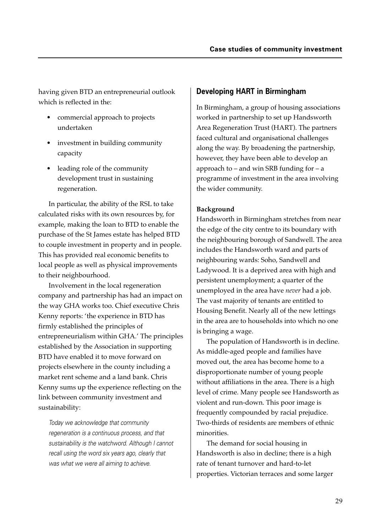having given BTD an entrepreneurial outlook which is reflected in the:

- commercial approach to projects undertaken
- investment in building community capacity
- leading role of the community development trust in sustaining regeneration.

In particular, the ability of the RSL to take calculated risks with its own resources by, for example, making the loan to BTD to enable the purchase of the St James estate has helped BTD to couple investment in property and in people. This has provided real economic benefits to local people as well as physical improvements to their neighbourhood.

Involvement in the local regeneration company and partnership has had an impact on the way GHA works too. Chief executive Chris Kenny reports: 'the experience in BTD has firmly established the principles of entrepreneurialism within GHA.' The principles established by the Association in supporting BTD have enabled it to move forward on projects elsewhere in the county including a market rent scheme and a land bank. Chris Kenny sums up the experience reflecting on the link between community investment and sustainability:

Today we acknowledge that community regeneration is a continuous process, and that sustainability is the watchword. Although I cannot recall using the word six years ago, clearly that was what we were all aiming to achieve.

## **Developing HART in Birmingham**

In Birmingham, a group of housing associations worked in partnership to set up Handsworth Area Regeneration Trust (HART). The partners faced cultural and organisational challenges along the way. By broadening the partnership, however, they have been able to develop an approach to  $-$  and win SRB funding for  $-$  a programme of investment in the area involving the wider community.

## **Background**

Handsworth in Birmingham stretches from near the edge of the city centre to its boundary with the neighbouring borough of Sandwell. The area includes the Handsworth ward and parts of neighbouring wards: Soho, Sandwell and Ladywood. It is a deprived area with high and persistent unemployment; a quarter of the unemployed in the area have *never* had a job. The vast majority of tenants are entitled to Housing Benefit. Nearly all of the new lettings in the area are to households into which no one is bringing a wage.

The population of Handsworth is in decline. As middle-aged people and families have moved out, the area has become home to a disproportionate number of young people without affiliations in the area. There is a high level of crime. Many people see Handsworth as violent and run-down. This poor image is frequently compounded by racial prejudice. Two-thirds of residents are members of ethnic minorities.

The demand for social housing in Handsworth is also in decline; there is a high rate of tenant turnover and hard-to-let properties. Victorian terraces and some larger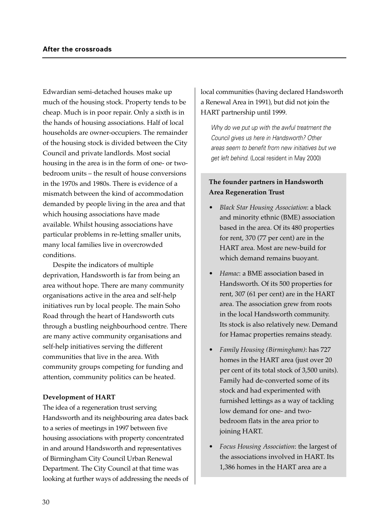Edwardian semi-detached houses make up much of the housing stock. Property tends to be cheap. Much is in poor repair. Only a sixth is in the hands of housing associations. Half of local households are owner-occupiers. The remainder of the housing stock is divided between the City Council and private landlords. Most social housing in the area is in the form of one- or twobedroom units – the result of house conversions in the 1970s and 1980s. There is evidence of a mismatch between the kind of accommodation demanded by people living in the area and that which housing associations have made available. Whilst housing associations have particular problems in re-letting smaller units, many local families live in overcrowded conditions.

Despite the indicators of multiple deprivation, Handsworth is far from being an area without hope. There are many community organisations active in the area and self-help initiatives run by local people. The main Soho Road through the heart of Handsworth cuts through a bustling neighbourhood centre. There are many active community organisations and self-help initiatives serving the different communities that live in the area. With community groups competing for funding and attention, community politics can be heated.

#### **Development of HART**

The idea of a regeneration trust serving Handsworth and its neighbouring area dates back to a series of meetings in 1997 between five housing associations with property concentrated in and around Handsworth and representatives of Birmingham City Council Urban Renewal Department. The City Council at that time was looking at further ways of addressing the needs of

local communities (having declared Handsworth a Renewal Area in 1991), but did not join the HART partnership until 1999.

Why do we put up with the awful treatment the Council gives us here in Handsworth? Other areas seem to benefit from new initiatives but we get left behind. (Local resident in May 2000)

### **The founder partners in Handsworth Area Regeneration Trust**

- *Black Star Housing Association*: a black and minority ethnic (BME) association based in the area. Of its 480 properties for rent, 370 (77 per cent) are in the HART area. Most are new-build for which demand remains buoyant.
- *Hamac*: a BME association based in Handsworth. Of its 500 properties for rent, 307 (61 per cent) are in the HART area. The association grew from roots in the local Handsworth community. Its stock is also relatively new. Demand for Hamac properties remains steady.
- *Family Housing (Birmingham)*: has 727 homes in the HART area (just over 20 per cent of its total stock of 3,500 units). Family had de-converted some of its stock and had experimented with furnished lettings as a way of tackling low demand for one- and twobedroom flats in the area prior to joining HART.
- *Focus Housing Association*: the largest of the associations involved in HART. Its 1,386 homes in the HART area are a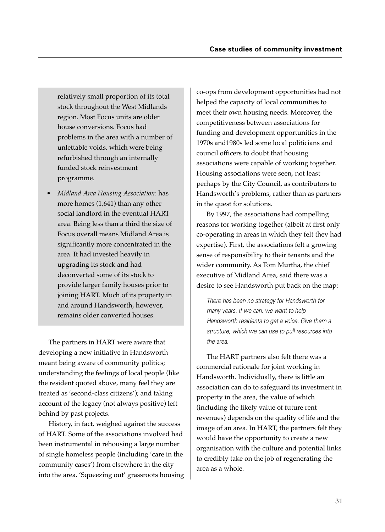relatively small proportion of its total stock throughout the West Midlands region. Most Focus units are older house conversions. Focus had problems in the area with a number of unlettable voids, which were being refurbished through an internally funded stock reinvestment programme.

• *Midland Area Housing Association*: has more homes (1,641) than any other social landlord in the eventual HART area. Being less than a third the size of Focus overall means Midland Area is significantly more concentrated in the area. It had invested heavily in upgrading its stock and had deconverted some of its stock to provide larger family houses prior to joining HART. Much of its property in and around Handsworth, however, remains older converted houses.

The partners in HART were aware that developing a new initiative in Handsworth meant being aware of community politics; understanding the feelings of local people (like the resident quoted above, many feel they are treated as 'second-class citizens'); and taking account of the legacy (not always positive) left behind by past projects.

History, in fact, weighed against the success of HART. Some of the associations involved had been instrumental in rehousing a large number of single homeless people (including 'care in the community cases') from elsewhere in the city into the area. 'Squeezing out' grassroots housing co-ops from development opportunities had not helped the capacity of local communities to meet their own housing needs. Moreover, the competitiveness between associations for funding and development opportunities in the 1970s and1980s led some local politicians and council officers to doubt that housing associations were capable of working together. Housing associations were seen, not least perhaps by the City Council, as contributors to Handsworth's problems, rather than as partners in the quest for solutions.

By 1997, the associations had compelling reasons for working together (albeit at first only co-operating in areas in which they felt they had expertise). First, the associations felt a growing sense of responsibility to their tenants and the wider community. As Tom Murtha, the chief executive of Midland Area, said there was a desire to see Handsworth put back on the map:

There has been no strategy for Handsworth for many years. If we can, we want to help Handsworth residents to get a voice. Give them a structure, which we can use to pull resources into the area.

The HART partners also felt there was a commercial rationale for joint working in Handsworth. Individually, there is little an association can do to safeguard its investment in property in the area, the value of which (including the likely value of future rent revenues) depends on the quality of life and the image of an area. In HART, the partners felt they would have the opportunity to create a new organisation with the culture and potential links to credibly take on the job of regenerating the area as a whole.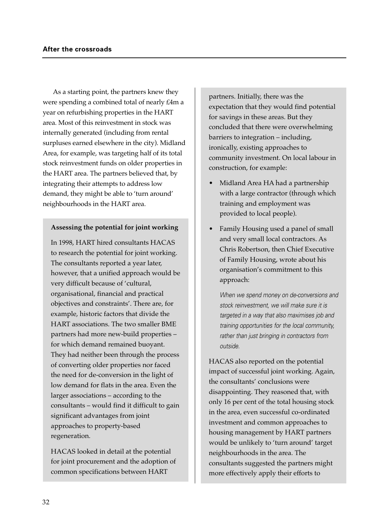As a starting point, the partners knew they were spending a combined total of nearly £4m a year on refurbishing properties in the HART area. Most of this reinvestment in stock was internally generated (including from rental surpluses earned elsewhere in the city). Midland Area, for example, was targeting half of its total stock reinvestment funds on older properties in the HART area. The partners believed that, by integrating their attempts to address low demand, they might be able to 'turn around' neighbourhoods in the HART area.

#### **Assessing the potential for joint working**

In 1998, HART hired consultants HACAS to research the potential for joint working. The consultants reported a year later, however, that a unified approach would be very difficult because of 'cultural, organisational, financial and practical objectives and constraints'. There are, for example, historic factors that divide the HART associations. The two smaller BME partners had more new-build properties – for which demand remained buoyant. They had neither been through the process of converting older properties nor faced the need for de-conversion in the light of low demand for flats in the area. Even the larger associations – according to the consultants – would find it difficult to gain significant advantages from joint approaches to property-based regeneration.

HACAS looked in detail at the potential for joint procurement and the adoption of common specifications between HART

partners. Initially, there was the expectation that they would find potential for savings in these areas. But they concluded that there were overwhelming barriers to integration – including, ironically, existing approaches to community investment. On local labour in construction, for example:

- Midland Area HA had a partnership with a large contractor (through which training and employment was provided to local people).
- Family Housing used a panel of small and very small local contractors. As Chris Robertson, then Chief Executive of Family Housing, wrote about his organisation's commitment to this approach:

When we spend money on de-conversions and stock reinvestment, we will make sure it is targeted in a way that also maximises job and training opportunities for the local community, rather than just bringing in contractors from outside.

HACAS also reported on the potential impact of successful joint working. Again, the consultants' conclusions were disappointing. They reasoned that, with only 16 per cent of the total housing stock in the area, even successful co-ordinated investment and common approaches to housing management by HART partners would be unlikely to 'turn around' target neighbourhoods in the area. The consultants suggested the partners might more effectively apply their efforts to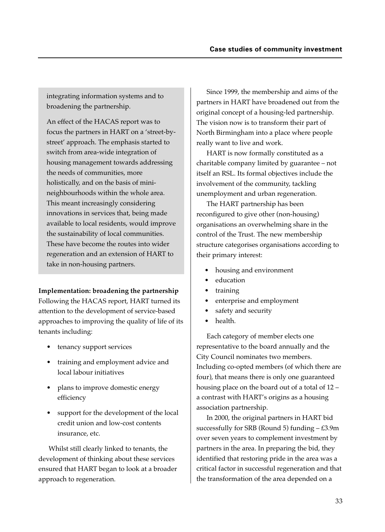integrating information systems and to broadening the partnership.

An effect of the HACAS report was to focus the partners in HART on a 'street-bystreet' approach. The emphasis started to switch from area-wide integration of housing management towards addressing the needs of communities, more holistically, and on the basis of minineighbourhoods within the whole area. This meant increasingly considering innovations in services that, being made available to local residents, would improve the sustainability of local communities. These have become the routes into wider regeneration and an extension of HART to take in non-housing partners.

**Implementation: broadening the partnership**

Following the HACAS report, HART turned its attention to the development of service-based approaches to improving the quality of life of its tenants including:

- tenancy support services
- training and employment advice and local labour initiatives
- plans to improve domestic energy efficiency
- support for the development of the local credit union and low-cost contents insurance, etc.

Whilst still clearly linked to tenants, the development of thinking about these services ensured that HART began to look at a broader approach to regeneration.

Since 1999, the membership and aims of the partners in HART have broadened out from the original concept of a housing-led partnership. The vision now is to transform their part of North Birmingham into a place where people really want to live and work.

HART is now formally constituted as a charitable company limited by guarantee – not itself an RSL. Its formal objectives include the involvement of the community, tackling unemployment and urban regeneration.

The HART partnership has been reconfigured to give other (non-housing) organisations an overwhelming share in the control of the Trust. The new membership structure categorises organisations according to their primary interest:

- housing and environment
- education
- training
- enterprise and employment
- safety and security
- health.

Each category of member elects one representative to the board annually and the City Council nominates two members. Including co-opted members (of which there are four), that means there is only one guaranteed housing place on the board out of a total of 12 – a contrast with HART's origins as a housing association partnership.

In 2000, the original partners in HART bid successfully for SRB (Round 5) funding – £3.9m over seven years to complement investment by partners in the area. In preparing the bid, they identified that restoring pride in the area was a critical factor in successful regeneration and that the transformation of the area depended on a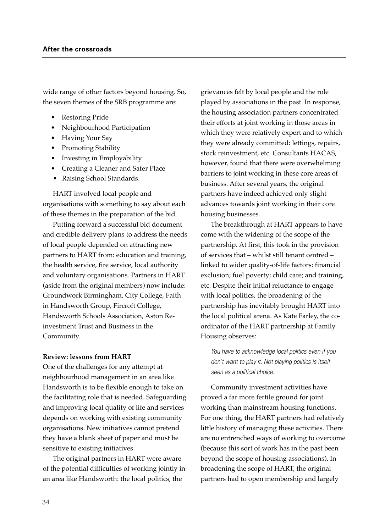wide range of other factors beyond housing. So, the seven themes of the SRB programme are:

- Restoring Pride
- Neighbourhood Participation
- Having Your Say
- Promoting Stability
- Investing in Employability
- Creating a Cleaner and Safer Place
- Raising School Standards.

HART involved local people and organisations with something to say about each of these themes in the preparation of the bid.

Putting forward a successful bid document and credible delivery plans to address the needs of local people depended on attracting new partners to HART from: education and training, the health service, fire service, local authority and voluntary organisations. Partners in HART (aside from the original members) now include: Groundwork Birmingham, City College, Faith in Handsworth Group, Fircroft College, Handsworth Schools Association, Aston Reinvestment Trust and Business in the Community.

#### **Review: lessons from HART**

One of the challenges for any attempt at neighbourhood management in an area like Handsworth is to be flexible enough to take on the facilitating role that is needed. Safeguarding and improving local quality of life and services depends on working with existing community organisations. New initiatives cannot pretend they have a blank sheet of paper and must be sensitive to existing initiatives.

The original partners in HART were aware of the potential difficulties of working jointly in an area like Handsworth: the local politics, the

grievances felt by local people and the role played by associations in the past. In response, the housing association partners concentrated their efforts at joint working in those areas in which they were relatively expert and to which they were already committed: lettings, repairs, stock reinvestment, etc. Consultants HACAS, however, found that there were overwhelming barriers to joint working in these core areas of business. After several years, the original partners have indeed achieved only slight advances towards joint working in their core housing businesses.

The breakthrough at HART appears to have come with the widening of the scope of the partnership. At first, this took in the provision of services that – whilst still tenant centred – linked to wider quality-of-life factors: financial exclusion; fuel poverty; child care; and training, etc. Despite their initial reluctance to engage with local politics, the broadening of the partnership has inevitably brought HART into the local political arena. As Kate Farley, the coordinator of the HART partnership at Family Housing observes:

You have to acknowledge local politics even if you don't want to play it. Not playing politics is itself seen as a political choice.

Community investment activities have proved a far more fertile ground for joint working than mainstream housing functions. For one thing, the HART partners had relatively little history of managing these activities. There are no entrenched ways of working to overcome (because this sort of work has in the past been beyond the scope of housing associations). In broadening the scope of HART, the original partners had to open membership and largely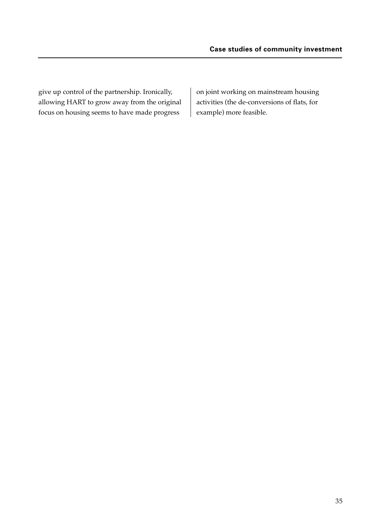give up control of the partnership. Ironically, allowing HART to grow away from the original focus on housing seems to have made progress

on joint working on mainstream housing activities (the de-conversions of flats, for example) more feasible.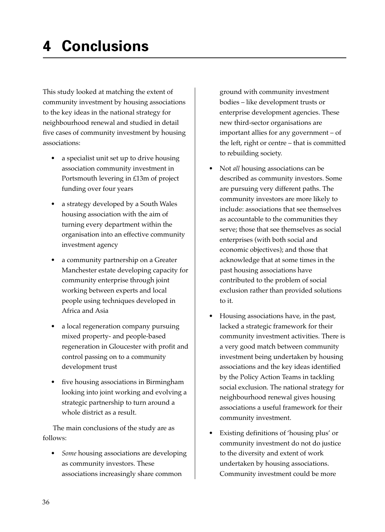This study looked at matching the extent of community investment by housing associations to the key ideas in the national strategy for neighbourhood renewal and studied in detail five cases of community investment by housing associations:

- a specialist unit set up to drive housing association community investment in Portsmouth levering in £13m of project funding over four years
- a strategy developed by a South Wales housing association with the aim of turning every department within the organisation into an effective community investment agency
- a community partnership on a Greater Manchester estate developing capacity for community enterprise through joint working between experts and local people using techniques developed in Africa and Asia
- a local regeneration company pursuing mixed property- and people-based regeneration in Gloucester with profit and control passing on to a community development trust
- five housing associations in Birmingham looking into joint working and evolving a strategic partnership to turn around a whole district as a result.

The main conclusions of the study are as follows:

• *Some* housing associations are developing as community investors. These associations increasingly share common

ground with community investment bodies – like development trusts or enterprise development agencies. These new third-sector organisations are important allies for any government – of the left, right or centre – that is committed to rebuilding society.

- Not *all* housing associations can be described as community investors. Some are pursuing very different paths. The community investors are more likely to include: associations that see themselves as accountable to the communities they serve; those that see themselves as social enterprises (with both social and economic objectives); and those that acknowledge that at some times in the past housing associations have contributed to the problem of social exclusion rather than provided solutions to it.
- Housing associations have, in the past, lacked a strategic framework for their community investment activities. There is a very good match between community investment being undertaken by housing associations and the key ideas identified by the Policy Action Teams in tackling social exclusion. The national strategy for neighbourhood renewal gives housing associations a useful framework for their community investment.
- Existing definitions of 'housing plus' or community investment do not do justice to the diversity and extent of work undertaken by housing associations. Community investment could be more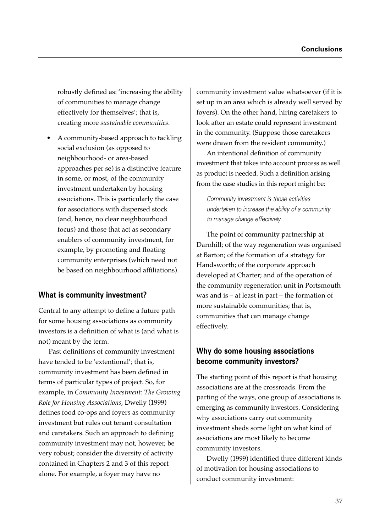robustly defined as: 'increasing the ability of communities to manage change effectively for themselves'; that is, creating more *sustainable communities*.

• A community-based approach to tackling social exclusion (as opposed to neighbourhood- or area-based approaches per se) is a distinctive feature in some, or most, of the community investment undertaken by housing associations. This is particularly the case for associations with dispersed stock (and, hence, no clear neighbourhood focus) and those that act as secondary enablers of community investment, for example, by promoting and floating community enterprises (which need not be based on neighbourhood affiliations).

## **What is community investment?**

Central to any attempt to define a future path for some housing associations as community investors is a definition of what is (and what is not) meant by the term.

Past definitions of community investment have tended to be 'extentional'; that is, community investment has been defined in terms of particular types of project. So, for example, in *Community Investment: The Growing Role for Housing Associations*, Dwelly (1999) defines food co-ops and foyers as community investment but rules out tenant consultation and caretakers. Such an approach to defining community investment may not, however, be very robust; consider the diversity of activity contained in Chapters 2 and 3 of this report alone. For example, a foyer may have no

community investment value whatsoever (if it is set up in an area which is already well served by foyers). On the other hand, hiring caretakers to look after an estate could represent investment in the community. (Suppose those caretakers were drawn from the resident community.)

An intentional definition of community investment that takes into account process as well as product is needed. Such a definition arising from the case studies in this report might be:

Community investment is those activities undertaken to increase the ability of a community to manage change effectively.

The point of community partnership at Darnhill; of the way regeneration was organised at Barton; of the formation of a strategy for Handsworth; of the corporate approach developed at Charter; and of the operation of the community regeneration unit in Portsmouth was and is – at least in part – the formation of more sustainable communities; that is, communities that can manage change effectively.

## **Why do some housing associations become community investors?**

The starting point of this report is that housing associations are at the crossroads. From the parting of the ways, one group of associations is emerging as community investors. Considering why associations carry out community investment sheds some light on what kind of associations are most likely to become community investors.

Dwelly (1999) identified three different kinds of motivation for housing associations to conduct community investment: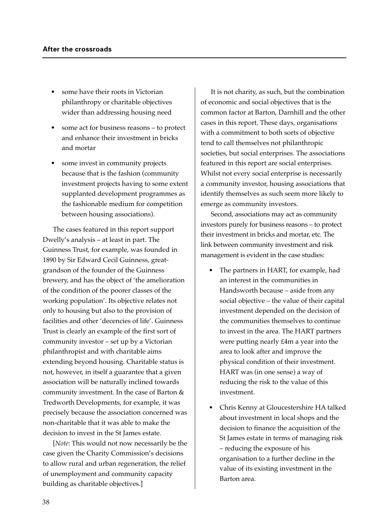- some have their roots in Victorian philanthropy or charitable objectives wider than addressing housing need
- some act for business reasons to protect and enhance their investment in bricks and mortar
- some invest in community projects because that is the fashion (community investment projects having to some extent supplanted development programmes as the fashionable medium for competition between housing associations).

The cases featured in this report support Dwelly's analysis – at least in part. The Guinness Trust, for example, was founded in 1890 by Sir Edward Cecil Guinness, greatgrandson of the founder of the Guinness brewery, and has the object of 'the amelioration of the condition of the poorer classes of the working population'. Its objective relates not only to housing but also to the provision of facilities and other 'decencies of life'. Guinness Trust is clearly an example of the first sort of community investor – set up by a Victorian philanthropist and with charitable aims extending beyond housing. Charitable status is not, however, in itself a guarantee that a given association will be naturally inclined towards community investment. In the case of Barton & Tredworth Developments, for example, it was precisely because the association concerned was non-charitable that it was able to make the decision to invest in the St James estate.

[*Note*: This would not now necessarily be the case given the Charity Commission's decisions to allow rural and urban regeneration, the relief of unemployment and community capacity building as charitable objectives.]

It is not charity, as such, but the combination of economic and social objectives that is the common factor at Barton, Darnhill and the other cases in this report. These days, organisations with a commitment to both sorts of objective tend to call themselves not philanthropic societies, but social enterprises. The associations featured in this report are social enterprises. Whilst not every social enterprise is necessarily a community investor, housing associations that identify themselves as such seem more likely to emerge as community investors.

Second, associations may act as community investors purely for business reasons – to protect their investment in bricks and mortar, etc. The link between community investment and risk management is evident in the case studies:

- The partners in HART, for example, had an interest in the communities in Handsworth because – aside from any social objective – the value of their capital investment depended on the decision of the communities themselves to continue to invest in the area. The HART partners were putting nearly £4m a year into the area to look after and improve the physical condition of their investment. HART was (in one sense) a way of reducing the risk to the value of this investment.
- Chris Kenny at Gloucestershire HA talked about investment in local shops and the decision to finance the acquisition of the St James estate in terms of managing risk – reducing the exposure of his organisation to a further decline in the value of its existing investment in the Barton area.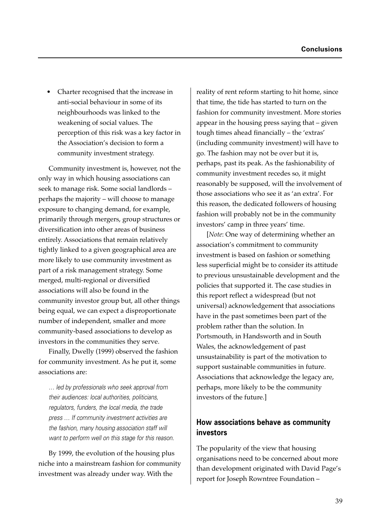• Charter recognised that the increase in anti-social behaviour in some of its neighbourhoods was linked to the weakening of social values. The perception of this risk was a key factor in the Association's decision to form a community investment strategy.

Community investment is, however, not the only way in which housing associations can seek to manage risk. Some social landlords – perhaps the majority – will choose to manage exposure to changing demand, for example, primarily through mergers, group structures or diversification into other areas of business entirely. Associations that remain relatively tightly linked to a given geographical area are more likely to use community investment as part of a risk management strategy. Some merged, multi-regional or diversified associations will also be found in the community investor group but, all other things being equal, we can expect a disproportionate number of independent, smaller and more community-based associations to develop as investors in the communities they serve.

Finally, Dwelly (1999) observed the fashion for community investment. As he put it, some associations are:

… led by professionals who seek approval from their audiences: local authorities, politicians, regulators, funders, the local media, the trade press … If community investment activities are the fashion, many housing association staff will want to perform well on this stage for this reason.

By 1999, the evolution of the housing plus niche into a mainstream fashion for community investment was already under way. With the

reality of rent reform starting to hit home, since that time, the tide has started to turn on the fashion for community investment. More stories appear in the housing press saying that – given tough times ahead financially – the 'extras' (including community investment) will have to go. The fashion may not be over but it is, perhaps, past its peak. As the fashionability of community investment recedes so, it might reasonably be supposed, will the involvement of those associations who see it as 'an extra'. For this reason, the dedicated followers of housing fashion will probably not be in the community investors' camp in three years' time.

[*Note*: One way of determining whether an association's commitment to community investment is based on fashion or something less superficial might be to consider its attitude to previous unsustainable development and the policies that supported it. The case studies in this report reflect a widespread (but not universal) acknowledgement that associations have in the past sometimes been part of the problem rather than the solution. In Portsmouth, in Handsworth and in South Wales, the acknowledgement of past unsustainability is part of the motivation to support sustainable communities in future. Associations that acknowledge the legacy are, perhaps, more likely to be the community investors of the future.]

## **How associations behave as community investors**

The popularity of the view that housing organisations need to be concerned about more than development originated with David Page's report for Joseph Rowntree Foundation –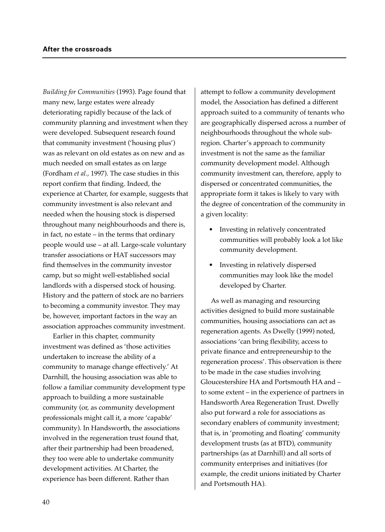*Building for Communities* (1993). Page found that many new, large estates were already deteriorating rapidly because of the lack of community planning and investment when they were developed. Subsequent research found that community investment ('housing plus') was as relevant on old estates as on new and as much needed on small estates as on large (Fordham *et al.*, 1997). The case studies in this report confirm that finding. Indeed, the experience at Charter, for example, suggests that community investment is also relevant and needed when the housing stock is dispersed throughout many neighbourhoods and there is, in fact, no estate – in the terms that ordinary people would use – at all. Large-scale voluntary transfer associations or HAT successors may find themselves in the community investor camp, but so might well-established social landlords with a dispersed stock of housing. History and the pattern of stock are no barriers to becoming a community investor. They may be, however, important factors in the way an association approaches community investment.

Earlier in this chapter, community investment was defined as 'those activities undertaken to increase the ability of a community to manage change effectively.' At Darnhill, the housing association was able to follow a familiar community development type approach to building a more sustainable community (or, as community development professionals might call it, a more 'capable' community). In Handsworth, the associations involved in the regeneration trust found that, after their partnership had been broadened, they too were able to undertake community development activities. At Charter, the experience has been different. Rather than

attempt to follow a community development model, the Association has defined a different approach suited to a community of tenants who are geographically dispersed across a number of neighbourhoods throughout the whole subregion. Charter's approach to community investment is not the same as the familiar community development model. Although community investment can, therefore, apply to dispersed or concentrated communities, the appropriate form it takes is likely to vary with the degree of concentration of the community in a given locality:

- Investing in relatively concentrated communities will probably look a lot like community development.
- Investing in relatively dispersed communities may look like the model developed by Charter.

As well as managing and resourcing activities designed to build more sustainable communities, housing associations can act as regeneration agents. As Dwelly (1999) noted, associations 'can bring flexibility, access to private finance and entrepreneurship to the regeneration process'. This observation is there to be made in the case studies involving Gloucestershire HA and Portsmouth HA and – to some extent – in the experience of partners in Handsworth Area Regeneration Trust. Dwelly also put forward a role for associations as secondary enablers of community investment; that is, in 'promoting and floating' community development trusts (as at BTD), community partnerships (as at Darnhill) and all sorts of community enterprises and initiatives (for example, the credit unions initiated by Charter and Portsmouth HA).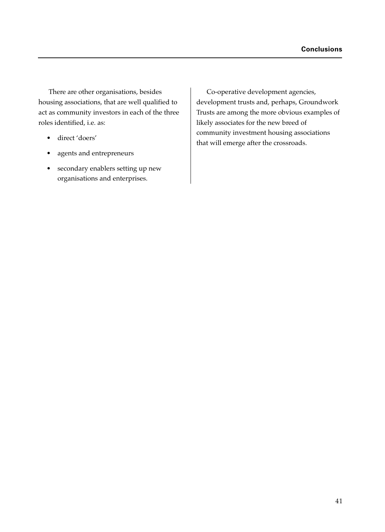There are other organisations, besides housing associations, that are well qualified to act as community investors in each of the three roles identified, i.e. as:

- direct 'doers'
- agents and entrepreneurs
- secondary enablers setting up new organisations and enterprises.

Co-operative development agencies, development trusts and, perhaps, Groundwork Trusts are among the more obvious examples of likely associates for the new breed of community investment housing associations that will emerge after the crossroads.